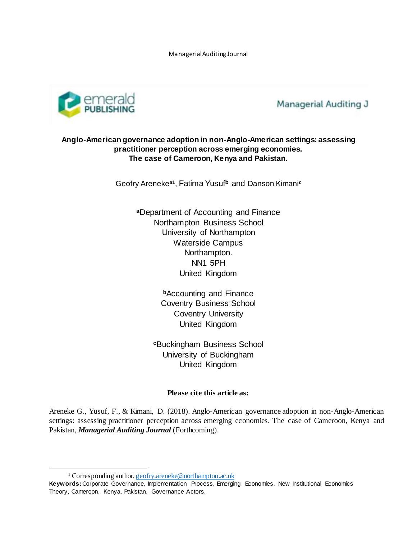Managerial Auditing Journal



**Managerial Auditing J** 

# **Anglo-American governance adoption in non-Anglo-American settings: assessing practitioner perception across emerging economies. The case of Cameroon, Kenya and Pakistan.**

Geofry Areneke**a1** , Fatima Yusuf**<sup>b</sup>** and Danson Kimani**<sup>c</sup>**

**<sup>a</sup>**Department of Accounting and Finance Northampton Business School University of Northampton Waterside Campus Northampton. NN1 5PH United Kingdom

> **<sup>b</sup>**Accounting and Finance Coventry Business School Coventry University United Kingdom

**<sup>c</sup>**Buckingham Business School University of Buckingham United Kingdom

### **Please cite this article as:**

Areneke G., Yusuf, F., & Kimani, D. (2018). Anglo-American governance adoption in non-Anglo-American settings: assessing practitioner perception across emerging economies. The case of Cameroon, Kenya and Pakistan, *Managerial Auditing Journal* (Forthcoming).

l

<sup>&</sup>lt;sup>1</sup> Corresponding author[, geofry.areneke@northampton.ac.uk](mailto:geofry.areneke@northampton.ac.uk)

**Keywords:**Corporate Governance, Implementation Process, Emerging Economies, New Institutional Economics Theory, Cameroon, Kenya, Pakistan, Governance Actors.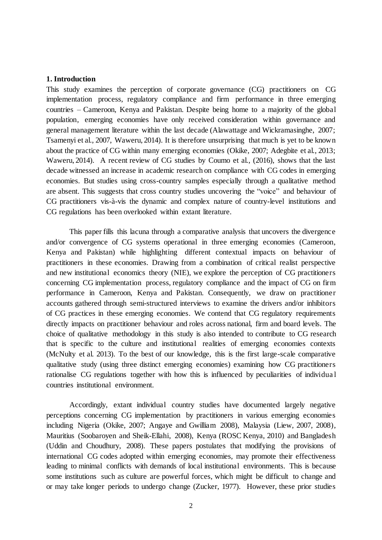#### **1. Introduction**

This study examines the perception of corporate governance (CG) practitioners on CG implementation process, regulatory compliance and firm performance in three emerging countries – Cameroon, Kenya and Pakistan. Despite being home to a majority of the global population, emerging economies have only received consideration within governance and general management literature within the last decade (Alawattage and Wickramasinghe, 2007; Tsamenyi et al., 2007, Waweru, 2014). It is therefore unsurprising that much is yet to be known about the practice of CG within many emerging economies (Okike, 2007; Adegbite et al., 2013; Waweru, 2014). A recent review of CG studies by Coumo et al., (2016), shows that the last decade witnessed an increase in academic research on compliance with CG codes in emerging economies. But studies using cross-country samples especially through a qualitative method are absent. This suggests that cross country studies uncovering the "voice" and behaviour of CG practitioners vis-à-vis the dynamic and complex nature of country-level institutions and CG regulations has been overlooked within extant literature.

This paper fills this lacuna through a comparative analysis that uncovers the divergence and/or convergence of CG systems operational in three emerging economies (Cameroon, Kenya and Pakistan) while highlighting different contextual impacts on behaviour of practitioners in these economies. Drawing from a combination of critical realist perspective and new institutional economics theory (NIE), we explore the perception of CG practitioners concerning CG implementation process, regulatory compliance and the impact of CG on firm performance in Cameroon, Kenya and Pakistan. Consequently, we draw on practitioner accounts gathered through semi-structured interviews to examine the drivers and/or inhibitors of CG practices in these emerging economies. We contend that CG regulatory requirements directly impacts on practitioner behaviour and roles across national, firm and board levels. The choice of qualitative methodology in this study is also intended to contribute to CG research that is specific to the culture and institutional realities of emerging economies contexts (McNulty et al. 2013). To the best of our knowledge, this is the first large-scale comparative qualitative study (using three distinct emerging economies) examining how CG practitioners rationalise CG regulations together with how this is influenced by peculiarities of individua l countries institutional environment.

Accordingly, extant individual country studies have documented largely negative perceptions concerning CG implementation by practitioners in various emerging economies including Nigeria (Okike, 2007; Angaye and Gwilliam 2008), Malaysia (Liew, 2007, 2008), Mauritius (Soobaroyen and Sheik-Ellahi, 2008), Kenya (ROSC Kenya, 2010) and Bangladesh (Uddin and Choudhury, 2008). These papers postulates that modifying the provisions of international CG codes adopted within emerging economies, may promote their effectiveness leading to minimal conflicts with demands of local institutional environments. This is because some institutions such as culture are powerful forces, which might be difficult to change and or may take longer periods to undergo change (Zucker, 1977). However, these prior studies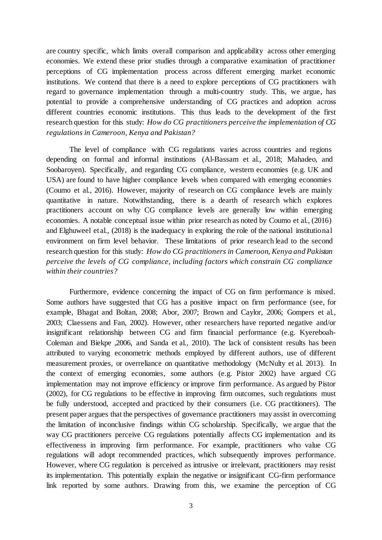are country specific, which limits overall comparison and applicability across other emerging economies. We extend these prior studies through a comparative examination of practitioner perceptions of CG implementation process across different emerging market economic institutions. We contend that there is a need to explore perceptions of CG practitioners with regard to governance implementation through a multi-country study. This, we argue, has potential to provide a comprehensive understanding of CG practices and adoption across different countries economic institutions. This thus leads to the development of the first research question for this study: *How do CG practitioners perceive the implementation of CG regulations in Cameroon, Kenya and Pakistan?*

The level of compliance with CG regulations varies across countries and regions depending on formal and informal institutions (Al-Bassam et al., 2018; Mahadeo, and Soobaroyen). Specifically, and regarding CG compliance, western economies (e.g. UK and USA) are found to have higher compliance levels when compared with emerging economies (Coumo et al., 2016). However, majority of research on CG compliance levels are mainly quantitative in nature. Notwithstanding, there is a dearth of research which explores practitioners account on why CG compliance levels are generally low within emerging economies. A notable conceptual issue within prior research as noted by Coumo et al., (2016) and Elghuweel et al., (2018) is the inadequacy in exploring the role of the national institutional environment on firm level behavior. These limitations of prior research lead to the second research question for this study: *How do CG practitioners in Cameroon, Kenya and Pakistan perceive the levels of CG compliance, including factors which constrain CG compliance within their countries?*

Furthermore, evidence concerning the impact of CG on firm performance is mixed. Some authors have suggested that CG has a positive impact on firm performance (see, for example, Bhagat and Boltan, 2008; Abor, [2007;](file:///H:/Fatima%20Folder/Research%20papers/Final%20Draft%20Dissertation-dkcomments%20and%20jfh%20commentsn-%20changes%20accepted.doc) Brown and Caylor, 2006; Gompers et al., [2003;](file:///H:/Fatima%20Folder/Research%20papers/Final%20Draft%20Dissertation-dkcomments%20and%20jfh%20commentsn-%20changes%20accepted.doc) Claessens and Fan, [2002\)](file:///H:/Fatima%20Folder/Research%20papers/Final%20Draft%20Dissertation-dkcomments%20and%20jfh%20commentsn-%20changes%20accepted.doc). However, other researchers have reported negative and/or insignificant relationship between CG and firm financial performance (e.g. Kyereboah-Coleman and Biekpe ,2006, and Sanda et al., 2010). The lack of consistent results has been attributed to varying econometric methods employed by different authors, use of different measurement proxies, or overreliance on quantitative methodology (McNulty et al. 2013). In the context of emerging economies, some authors (e.g. Pistor 2002) have argued CG implementation may not improve efficiency or improve firm performance. As argued by Pistor (2002), for CG regulations to be effective in improving firm outcomes, such regulations must be fully understood, accepted and practiced by their consumers (i.e. CG practitioners). The present paper argues that the perspectives of governance practitioners may assist in overcoming the limitation of inconclusive findings within CG scholarship. Specifically, we argue that the way CG practitioners perceive CG regulations potentially affects CG implementation and its effectiveness in improving firm performance. For example, practitioners who value CG regulations will adopt recommended practices, which subsequently improves performance. However, where CG regulation is perceived as intrusive or irrelevant, practitioners may resist its implementation. This potentially explain the negative or insignificant CG-firm performance link reported by some authors. Drawing from this, we examine the perception of CG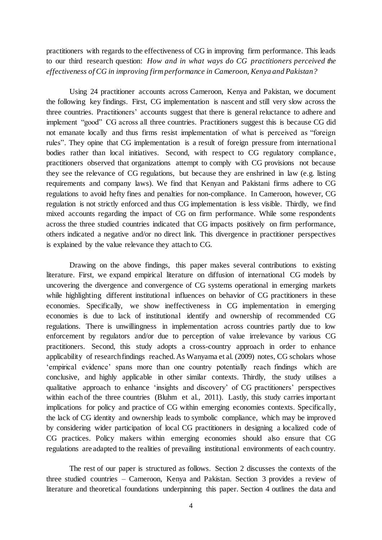practitioners with regards to the effectiveness of CG in improving firm performance. This leads to our third research question: *How and in what ways do CG practitioners perceived the effectiveness of CG in improving firm performance in Cameroon, Kenya and Pakistan?*

Using 24 practitioner accounts across Cameroon, Kenya and Pakistan, we document the following key findings. First, CG implementation is nascent and still very slow across the three countries. Practitioners' accounts suggest that there is general reluctance to adhere and implement "good" CG across all three countries. Practitioners suggest this is because CG did not emanate locally and thus firms resist implementation of what is perceived as "foreign rules". They opine that CG implementation is a result of foreign pressure from international bodies rather than local initiatives. Second, with respect to CG regulatory compliance, practitioners observed that organizations attempt to comply with CG provisions not because they see the relevance of CG regulations, but because they are enshrined in law (e.g. listing requirements and company laws). We find that Kenyan and Pakistani firms adhere to CG regulations to avoid hefty fines and penalties for non-compliance. In Cameroon, however, CG regulation is not strictly enforced and thus CG implementation is less visible. Thirdly, we find mixed accounts regarding the impact of CG on firm performance. While some respondents across the three studied countries indicated that CG impacts positively on firm performance, others indicated a negative and/or no direct link. This divergence in practitioner perspectives is explained by the value relevance they attach to CG.

Drawing on the above findings, this paper makes several contributions to existing literature. First, we expand empirical literature on diffusion of international CG models by uncovering the divergence and convergence of CG systems operational in emerging markets while highlighting different institutional influences on behavior of CG practitioners in these economies. Specifically, we show ineffectiveness in CG implementation in emerging economies is due to lack of institutional identify and ownership of recommended CG regulations. There is unwillingness in implementation across countries partly due to low enforcement by regulators and/or due to perception of value irrelevance by various CG practitioners. Second, this study adopts a cross-country approach in order to enhance applicability of researchfindings reached. As Wanyama et al. (2009) notes, CG scholars whose 'empirical evidence' spans more than one country potentially reach findings which are conclusive, and highly applicable in other similar contexts. Thirdly, the study utilises a qualitative approach to enhance 'insights and discovery' of CG practitioners' perspectives within each of the three countries (Bluhm et al., 2011). Lastly, this study carries important implications for policy and practice of CG within emerging economies contexts. Specifically, the lack of CG identity and ownership leads to symbolic compliance, which may be improved by considering wider participation of local CG practitioners in designing a localized code of CG practices. Policy makers within emerging economies should also ensure that CG regulations are adapted to the realities of prevailing institutional environments of each country.

The rest of our paper is structured as follows. Section 2 discusses the contexts of the three studied countries – Cameroon, Kenya and Pakistan. Section 3 provides a review of literature and theoretical foundations underpinning this paper. Section 4 outlines the data and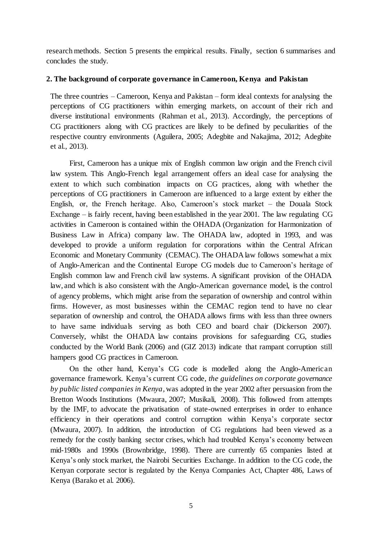research methods. Section 5 presents the empirical results. Finally, section 6 summarises and concludes the study.

### **2. The background of corporate governance in Cameroon, Kenya and Pakistan**

The three countries – Cameroon, Kenya and Pakistan – form ideal contexts for analysing the perceptions of CG practitioners within emerging markets, on account of their rich and diverse institutional environments (Rahman et al., 2013). Accordingly, the perceptions of CG practitioners along with CG practices are likely to be defined by peculiarities of the respective country environments (Aguilera, 2005; Adegbite and Nakajima, 2012; Adegbite et al., 2013).

First, Cameroon has a unique mix of English common law origin and the French civil law system. This Anglo-French legal arrangement offers an ideal case for analysing the extent to which such combination impacts on CG practices, along with whether the perceptions of CG practitioners in Cameroon are influenced to a large extent by either the English, or, the French heritage. Also, Cameroon's stock market – the Douala Stock Exchange – is fairly recent, having been established in the year 2001. The law regulating CG activities in Cameroon is contained within the OHADA (Organization for Harmonization of Business Law in Africa) company law. The OHADA law, adopted in 1993, and was developed to provide a uniform regulation for corporations within the Central African Economic and Monetary Community (CEMAC). The OHADA law follows somewhat a mix of Anglo-American and the Continental Europe CG models due to Cameroon's heritage of English common law and French civil law systems. A significant provision of the OHADA law, and which is also consistent with the Anglo-American governance model, is the control of agency problems, which might arise from the separation of ownership and control within firms. However, as most businesses within the CEMAC region tend to have no clear separation of ownership and control, the OHADA allows firms with less than three owners to have same individuals serving as both CEO and board chair (Dickerson 2007). Conversely, whilst the OHADA law contains provisions for safeguarding CG, studies conducted by the World Bank (2006) and (GIZ 2013) indicate that rampant corruption still hampers good CG practices in Cameroon.

On the other hand, Kenya's CG code is modelled along the Anglo-American governance framework. Kenya's current CG code, *the guidelines on corporate governance by public listed companies in Kenya*, was adopted in the year 2002 after persuasion from the Bretton Woods Institutions (Mwaura, 2007; Musikali, 2008). This followed from attempts by the IMF, to advocate the privatisation of state-owned enterprises in order to enhance efficiency in their operations and control corruption within Kenya's corporate sector (Mwaura, 2007). In addition, the introduction of CG regulations had been viewed as a remedy for the costly banking sector crises, which had troubled Kenya's economy between mid-1980s and 1990s (Brownbridge, 1998). There are currently 65 companies listed at Kenya's only stock market, the Nairobi Securities Exchange. In addition to the CG code, the Kenyan corporate sector is regulated by the Kenya Companies Act, Chapter 486, Laws of Kenya (Barako et al. 2006).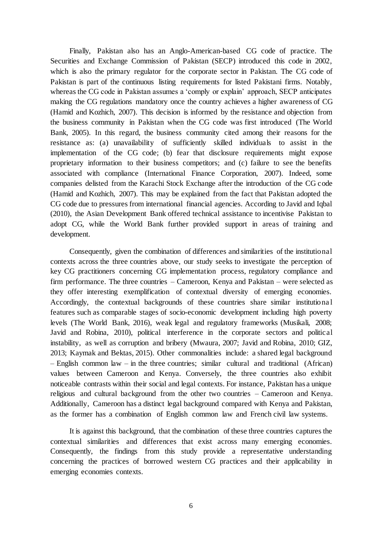Finally, Pakistan also has an Anglo-American-based CG code of practice. The Securities and Exchange Commission of Pakistan (SECP) introduced this code in 2002, which is also the primary regulator for the corporate sector in Pakistan. The CG code of Pakistan is part of the continuous listing requirements for listed Pakistani firms. Notably, whereas the CG code in Pakistan assumes a 'comply or explain' approach, SECP anticipates making the CG regulations mandatory once the country achieves a higher awareness of CG (Hamid and Kozhich, 2007). This decision is informed by the resistance and objection from the business community in Pakistan when the CG code was first introduced (The World Bank, 2005). In this regard, the business community cited among their reasons for the resistance as: (a) unavailability of sufficiently skilled individuals to assist in the implementation of the CG code; (b) fear that disclosure requirements might expose proprietary information to their business competitors; and (c) failure to see the benefits associated with compliance (International Finance Corporation, 2007). Indeed, some companies delisted from the Karachi Stock Exchange after the introduction of the CG code (Hamid and Kozhich, 2007). This may be explained from the fact that Pakistan adopted the CG code due to pressures from international financial agencies. According to Javid and Iqbal (2010), the Asian Development Bank offered technical assistance to incentivise Pakistan to adopt CG, while the World Bank further provided support in areas of training and development.

Consequently, given the combination of differences and similarities of the institutional contexts across the three countries above, our study seeks to investigate the perception of key CG practitioners concerning CG implementation process, regulatory compliance and firm performance. The three countries – Cameroon, Kenya and Pakistan – were selected as they offer interesting exemplification of contextual diversity of emerging economies. Accordingly, the contextual backgrounds of these countries share similar institutiona l features such as comparable stages of socio-economic development including high poverty levels (The World Bank, 2016), weak legal and regulatory frameworks (Musikali, 2008; Javid and Robina, 2010), political interference in the corporate sectors and political instability, as well as corruption and bribery (Mwaura, 2007; Javid and Robina, 2010; GIZ, 2013; Kaymak and Bektas, 2015). Other commonalities include: a shared legal background – English common law – in the three countries; similar cultural and traditional (African) values between Cameroon and Kenya. Conversely, the three countries also exhibit noticeable contrasts within their social and legal contexts. For instance, Pakistan has a unique religious and cultural background from the other two countries – Cameroon and Kenya. Additionally, Cameroon has a distinct legal background compared with Kenya and Pakistan, as the former has a combination of English common law and French civil law systems.

It is against this background, that the combination of these three countries captures the contextual similarities and differences that exist across many emerging economies. Consequently, the findings from this study provide a representative understanding concerning the practices of borrowed western CG practices and their applicability in emerging economies contexts.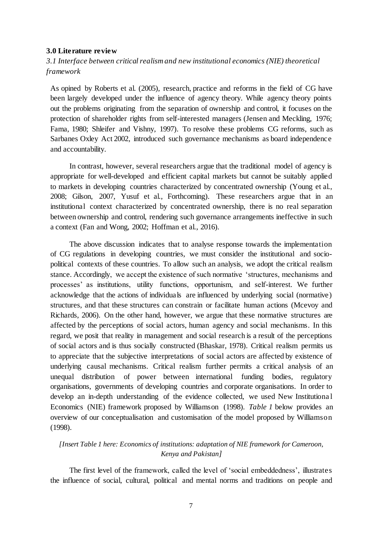#### **3.0 Literature review**

3.1 Interface between critical realism and new institutional economics *(NIE)* theoretical *framework*

As opined by Roberts et al. (2005), research, practice and reforms in the field of CG have been largely developed under the influence of agency theory. While agency theory points out the problems originating from the separation of ownership and control, it focuses on the protection of shareholder rights from self-interested managers (Jensen and Meckling, 1976; Fama, 1980; Shleifer and Vishny, 1997). To resolve these problems CG reforms, such as Sarbanes Oxley Act 2002, introduced such governance mechanisms as board independence and accountability.

In contrast, however, several researchers argue that the traditional model of agency is appropriate for well-developed and efficient capital markets but cannot be suitably applied to markets in developing countries characterized by concentrated ownership (Young et al., 2008; Gilson, 2007, Yusuf et al., Forthcoming). These researchers argue that in an institutional context characterized by concentrated ownership, there is no real separation between ownership and control, rendering such governance arrangements ineffective in such a context (Fan and Wong, 2002; Hoffman et al., 2016).

The above discussion indicates that to analyse response towards the implementation of CG regulations in developing countries, we must consider the institutional and sociopolitical contexts of these countries. To allow such an analysis, we adopt the critical realism stance. Accordingly, we accept the existence of such normative 'structures, mechanisms and processes' as institutions, utility functions, opportunism, and self-interest. We further acknowledge that the actions of individuals are influenced by underlying social (normative) structures, and that these structures can constrain or facilitate human actions (Mcevoy and Richards, 2006). On the other hand, however, we argue that these normative structures are affected by the perceptions of social actors, human agency and social mechanisms. In this regard, we posit that reality in management and social research is a result of the perceptions of social actors and is thus socially constructed (Bhaskar, 1978). Critical realism permits us to appreciate that the subjective interpretations of social actors are affected by existence of underlying causal mechanisms. Critical realism further permits a critical analysis of an unequal distribution of power between international funding bodies, regulatory organisations, governments of developing countries and corporate organisations. In order to develop an in-depth understanding of the evidence collected, we used New Institutiona l Economics (NIE) framework proposed by Williamson (1998). *Table 1* below provides an overview of our conceptualisation and customisation of the model proposed by Williamson (1998).

# *[Insert Table 1 here: Economics of institutions: adaptation of NIE framework for Cameroon, Kenya and Pakistan]*

The first level of the framework, called the level of 'social embeddedness', illustrates the influence of social, cultural, political and mental norms and traditions on people and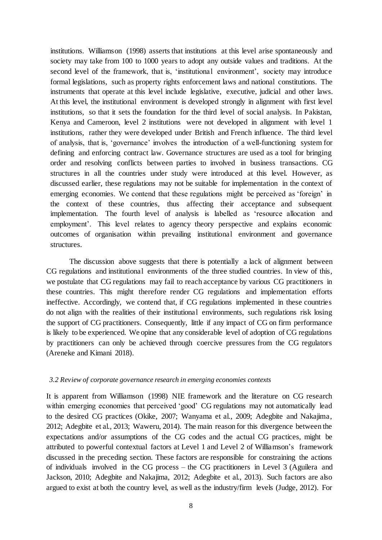institutions. Williamson (1998) asserts that institutions at this level arise spontaneously and society may take from 100 to 1000 years to adopt any outside values and traditions. At the second level of the framework, that is, 'institutional environment', society may introduce formal legislations, such as property rights enforcement laws and national constitutions. The instruments that operate at this level include legislative, executive, judicial and other laws. At this level, the institutional environment is developed strongly in alignment with first level institutions, so that it sets the foundation for the third level of social analysis. In Pakistan, Kenya and Cameroon, level 2 institutions were not developed in alignment with level 1 institutions, rather they were developed under British and French influence. The third level of analysis, that is, 'governance' involves the introduction of a well-functioning system for defining and enforcing contract law. Governance structures are used as a tool for bringing order and resolving conflicts between parties to involved in business transactions. CG structures in all the countries under study were introduced at this level. However, as discussed earlier, these regulations may not be suitable for implementation in the context of emerging economies. We contend that these regulations might be perceived as 'foreign' in the context of these countries, thus affecting their acceptance and subsequent implementation. The fourth level of analysis is labelled as 'resource allocation and employment'. This level relates to agency theory perspective and explains economic outcomes of organisation within prevailing institutional environment and governance structures.

The discussion above suggests that there is potentially a lack of alignment between CG regulations and institutional environments of the three studied countries. In view of this, we postulate that CG regulations may fail to reach acceptance by various CG practitioners in these countries. This might therefore render CG regulations and implementation efforts ineffective. Accordingly, we contend that, if CG regulations implemented in these countries do not align with the realities of their institutional environments, such regulations risk losing the support of CG practitioners. Consequently, little if any impact of CG on firm performance is likely to be experienced. We opine that any considerable level of adoption of CG regulations by practitioners can only be achieved through coercive pressures from the CG regulators (Areneke and Kimani 2018).

#### *3.2 Review of corporate governance research in emerging economies contexts*

It is apparent from Williamson (1998) NIE framework and the literature on CG research within emerging economies that perceived 'good' CG regulations may not automatically lead to the desired CG practices (Okike, 2007; Wanyama et al., 2009; Adegbite and Nakajima, 2012; Adegbite et al., 2013; Waweru, 2014). The main reason for this divergence between the expectations and/or assumptions of the CG codes and the actual CG practices, might be attributed to powerful contextual factors at Level 1 and Level 2 of Williamson's framework discussed in the preceding section. These factors are responsible for constraining the actions of individuals involved in the CG process – the CG practitioners in Level 3 (Aguilera and Jackson, 2010; Adegbite and Nakajima, 2012; Adegbite et al., 2013). Such factors are also argued to exist at both the country level, as well as the industry/firm levels (Judge, 2012). For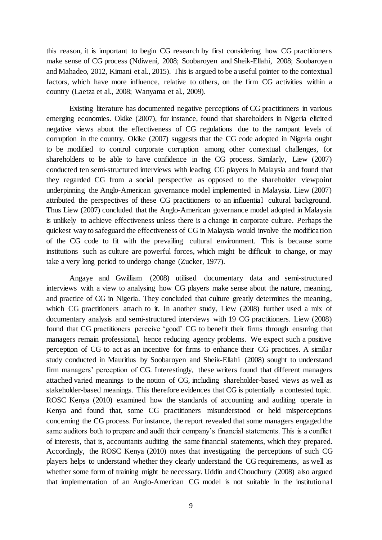this reason, it is important to begin CG research by first considering how CG practitioners make sense of CG process (Ndiweni, 2008; Soobaroyen and Sheik-Ellahi, 2008; Soobaroyen and Mahadeo, 2012, Kimani et al., 2015). This is argued to be a useful pointer to the contextual factors, which have more influence, relative to others, on the firm CG activities within a country (Laetza et al., 2008; Wanyama et al., 2009).

Existing literature has documented negative perceptions of CG practitioners in various emerging economies. Okike (2007), for instance, found that shareholders in Nigeria elicited negative views about the effectiveness of CG regulations due to the rampant levels of corruption in the country. Okike (2007) suggests that the CG code adopted in Nigeria ought to be modified to control corporate corruption among other contextual challenges, for shareholders to be able to have confidence in the CG process. Similarly, Liew (2007) conducted ten semi-structured interviews with leading CG players in Malaysia and found that they regarded CG from a social perspective as opposed to the shareholder viewpoint underpinning the Anglo-American governance model implemented in Malaysia. Liew (2007) attributed the perspectives of these CG practitioners to an influential cultural background. Thus Liew (2007) concluded that the Anglo-American governance model adopted in Malaysia is unlikely to achieve effectiveness unless there is a change in corporate culture. Perhaps the quickest way to safeguard the effectiveness of CG in Malaysia would involve the modification of the CG code to fit with the prevailing cultural environment. This is because some institutions such as culture are powerful forces, which might be difficult to change, or may take a very long period to undergo change (Zucker, 1977).

Angaye and Gwilliam (2008) utilised documentary data and semi-structured interviews with a view to analysing how CG players make sense about the nature, meaning, and practice of CG in Nigeria. They concluded that culture greatly determines the meaning, which CG practitioners attach to it. In another study, Liew (2008) further used a mix of documentary analysis and semi-structured interviews with 19 CG practitioners. Liew (2008) found that CG practitioners perceive 'good' CG to benefit their firms through ensuring that managers remain professional, hence reducing agency problems. We expect such a positive perception of CG to act as an incentive for firms to enhance their CG practices. A similar study conducted in Mauritius by Soobaroyen and Sheik-Ellahi (2008) sought to understand firm managers' perception of CG. Interestingly, these writers found that different managers attached varied meanings to the notion of CG, including shareholder-based views as well as stakeholder-based meanings. This therefore evidences that CG is potentially a contested topic. ROSC Kenya (2010) examined how the standards of accounting and auditing operate in Kenya and found that, some CG practitioners misunderstood or held misperceptions concerning the CG process. For instance, the report revealed that some managers engaged the same auditors both to prepare and audit their company's financial statements. This is a conflict of interests, that is, accountants auditing the same financial statements, which they prepared. Accordingly, the ROSC Kenya (2010) notes that investigating the perceptions of such CG players helps to understand whether they clearly understand the CG requirements, as well as whether some form of training might be necessary. Uddin and Choudhury (2008) also argued that implementation of an Anglo-American CG model is not suitable in the institutional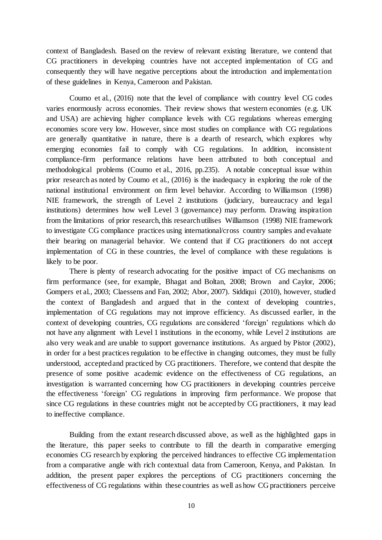context of Bangladesh. Based on the review of relevant existing literature, we contend that CG practitioners in developing countries have not accepted implementation of CG and consequently they will have negative perceptions about the introduction and implementation of these guidelines in Kenya, Cameroon and Pakistan.

Coumo et al., (2016) note that the level of compliance with country level CG codes varies enormously across economies. Their review shows that western economies (e.g. UK and USA) are achieving higher compliance levels with CG regulations whereas emerging economies score very low. However, since most studies on compliance with CG regulations are generally quantitative in nature, there is a dearth of research, which explores why emerging economies fail to comply with CG regulations. In addition, inconsistent compliance-firm performance relations have been attributed to both conceptual and methodological problems (Coumo et al., 2016, pp.235). A notable conceptual issue within prior research as noted by Coumo et al., (2016) is the inadequacy in exploring the role of the national institutional environment on firm level behavior. According to Williamson (1998) NIE framework, the strength of Level 2 institutions (judiciary, bureaucracy and legal institutions) determines how well Level 3 (governance) may perform. Drawing inspiration from the limitations of prior research, this research utilises Williamson (1998) NIE framework to investigate CG compliance practices using international/cross country samples and evaluate their bearing on managerial behavior. We contend that if CG practitioners do not accept implementation of CG in these countries, the level of compliance with these regulations is likely to be poor.

There is plenty of research advocating for the positive impact of CG mechanisms on firm performance (see, for example, Bhagat and Boltan, 2008; Brown and Caylor, 2006; Gompers et al., [2003;](file:///H:/Fatima%20Folder/Research%20papers/Final%20Draft%20Dissertation-dkcomments%20and%20jfh%20commentsn-%20changes%20accepted.doc) Claessens and Fan[, 2002;](file:///H:/Fatima%20Folder/Research%20papers/Final%20Draft%20Dissertation-dkcomments%20and%20jfh%20commentsn-%20changes%20accepted.doc) Abor, [2007\).](file:///H:/Fatima%20Folder/Research%20papers/Final%20Draft%20Dissertation-dkcomments%20and%20jfh%20commentsn-%20changes%20accepted.doc) Siddiqui (2010), however, studied the context of Bangladesh and argued that in the context of developing countries, implementation of CG regulations may not improve efficiency. As discussed earlier, in the context of developing countries, CG regulations are considered 'foreign' regulations which do not have any alignment with Level 1 institutions in the economy, while Level 2 institutions are also very weak and are unable to support governance institutions. As argued by Pistor (2002), in order for a best practices regulation to be effective in changing outcomes, they must be fully understood, accepted and practiced by CG practitioners. Therefore, we contend that despite the presence of some positive academic evidence on the effectiveness of CG regulations, an investigation is warranted concerning how CG practitioners in developing countries perceive the effectiveness 'foreign' CG regulations in improving firm performance. We propose that since CG regulations in these countries might not be accepted by CG practitioners, it may lead to ineffective compliance.

Building from the extant research discussed above, as well as the highlighted gaps in the literature, this paper seeks to contribute to fill the dearth in comparative emerging economies CG research by exploring the perceived hindrances to effective CG implementation from a comparative angle with rich contextual data from Cameroon, Kenya, and Pakistan. In addition, the present paper explores the perceptions of CG practitioners concerning the effectiveness of CG regulations within these countries as well as how CG practitioners perceive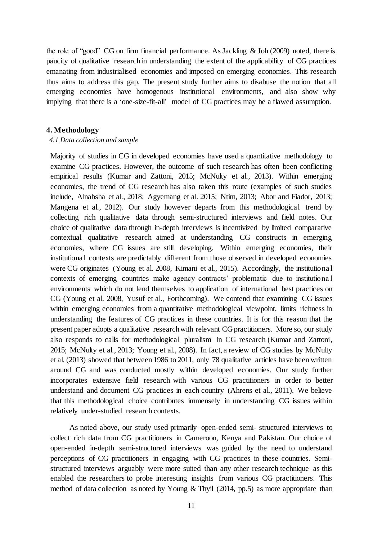the role of "good" CG on firm financial performance. As Jackling & Joh (2009) noted, there is paucity of qualitative research in understanding the extent of the applicability of CG practices emanating from industrialised economies and imposed on emerging economies. This research thus aims to address this gap. The present study further aims to disabuse the notion that all emerging economies have homogenous institutional environments, and also show why implying that there is a 'one-size-fit-all' model of CG practices may be a flawed assumption.

#### **4. Methodology**

#### *4.1 Data collection and sample*

Majority of studies in CG in developed economies have used a quantitative methodology to examine CG practices. However, the outcome of such research has often been conflicting empirical results (Kumar and Zattoni, 2015; McNulty et al., 2013). Within emerging economies, the trend of CG research has also taken this route (examples of such studies include, Alnabsha et al., 2018; Agyemang et al. 2015; Ntim, 2013; Abor and Fiador, 2013; Mangena et al., 2012). Our study however departs from this methodological trend by collecting rich qualitative data through semi-structured interviews and field notes. Our choice of qualitative data through in-depth interviews is incentivized by limited comparative contextual qualitative research aimed at understanding CG constructs in emerging economies, where CG issues are still developing. Within emerging economies, their institutional contexts are predictably different from those observed in developed economies were CG originates (Young et al. 2008, Kimani et al., 2015). Accordingly, the institutiona l contexts of emerging countries make agency contracts' problematic due to institutiona l environments which do not lend themselves to application of international best practices on CG (Young et al. 2008, Yusuf et al., Forthcoming). We contend that examining CG issues within emerging economies from a quantitative methodological viewpoint, limits richness in understanding the features of CG practices in these countries. It is for this reason that the present paper adopts a qualitative research with relevant CG practitioners. More so, our study also responds to calls for methodological pluralism in CG research (Kumar and Zattoni, 2015; McNulty et al., 2013; Young et al., 2008). In fact, a review of CG studies by McNulty et al. (2013) showed that between 1986 to 2011, only 78 qualitative articles have been written around CG and was conducted mostly within developed economies. Our study further incorporates extensive field research with various CG practitioners in order to better understand and document CG practices in each country (Ahrens et al., 2011). We believe that this methodological choice contributes immensely in understanding CG issues within relatively under-studied research contexts.

As noted above, our study used primarily open-ended semi- structured interviews to collect rich data from CG practitioners in Cameroon, Kenya and Pakistan. Our choice of open-ended in-depth semi-structured interviews was guided by the need to understand perceptions of CG practitioners in engaging with CG practices in these countries. Semistructured interviews arguably were more suited than any other research technique as this enabled the researchers to probe interesting insights from various CG practitioners. This method of data collection as noted by Young & Thyil (2014, pp.5) as more appropriate than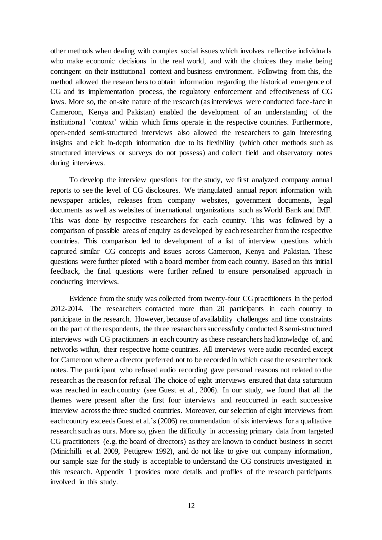other methods when dealing with complex social issues which involves reflective individua ls who make economic decisions in the real world, and with the choices they make being contingent on their institutional context and business environment. Following from this, the method allowed the researchers to obtain information regarding the historical emergence of CG and its implementation process, the regulatory enforcement and effectiveness of CG laws. More so, the on-site nature of the research (as interviews were conducted face-face in Cameroon, Kenya and Pakistan) enabled the development of an understanding of the institutional 'context' within which firms operate in the respective countries. Furthermore, open-ended semi-structured interviews also allowed the researchers to gain interesting insights and elicit in-depth information due to its flexibility (which other methods such as structured interviews or surveys do not possess) and collect field and observatory notes during interviews.

To develop the interview questions for the study, we first analyzed company annual reports to see the level of CG disclosures. We triangulated annual report information with newspaper articles, releases from company websites, government documents, legal documents as well as websites of international organizations such as World Bank and IMF. This was done by respective researchers for each country. This was followed by a comparison of possible areas of enquiry as developed by each researcher from the respective countries. This comparison led to development of a list of interview questions which captured similar CG concepts and issues across Cameroon, Kenya and Pakistan. These questions were further piloted with a board member from each country. Based on this initial feedback, the final questions were further refined to ensure personalised approach in conducting interviews.

Evidence from the study was collected from twenty-four CG practitioners in the period 2012-2014. The researchers contacted more than 20 participants in each country to participate in the research. However, because of availability challenges and time constraints on the part of the respondents, the three researchers successfully conducted 8 semi-structured interviews with CG practitioners in each country as these researchers had knowledge of, and networks within, their respective home countries. All interviews were audio recorded except for Cameroon where a director preferred not to be recorded in which case the researcher took notes. The participant who refused audio recording gave personal reasons not related to the research as the reason for refusal. The choice of eight interviews ensured that data saturation was reached in each country (see Guest et al., 2006). In our study, we found that all the themes were present after the first four interviews and reoccurred in each successive interview across the three studied countries. Moreover, our selection of eight interviews from each country exceeds Guest et al.'s (2006) recommendation of six interviews for a qualitative research such as ours. More so, given the difficulty in accessing primary data from targeted CG practitioners (e.g. the board of directors) as they are known to conduct business in secret (Minichilli et al. 2009, Pettigrew 1992), and do not like to give out company information, our sample size for the study is acceptable to understand the CG constructs investigated in this research. Appendix 1 provides more details and profiles of the research participants involved in this study.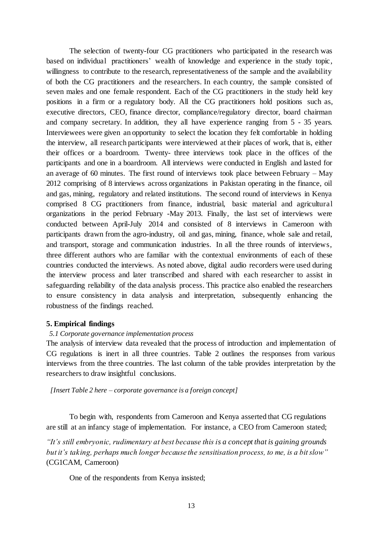The selection of twenty-four CG practitioners who participated in the research was based on individual practitioners' wealth of knowledge and experience in the study topic, willingness to contribute to the research, representativeness of the sample and the availability of both the CG practitioners and the researchers. In each country, the sample consisted of seven males and one female respondent. Each of the CG practitioners in the study held key positions in a firm or a regulatory body. All the CG practitioners hold positions such as, executive directors, CEO, finance director, compliance/regulatory director, board chairman and company secretary. In addition, they all have experience ranging from 5 - 35 years. Interviewees were given an opportunity to select the location they felt comfortable in holding the interview, all research participants were interviewed at their places of work, that is, either their offices or a boardroom. Twenty- three interviews took place in the offices of the participants and one in a boardroom. All interviews were conducted in English and lasted for an average of 60 minutes. The first round of interviews took place between February – May 2012 comprising of 8 interviews across organizations in Pakistan operating in the finance, oil and gas, mining, regulatory and related institutions. The second round of interviews in Kenya comprised 8 CG practitioners from finance, industrial, basic material and agricultural organizations in the period February -May 2013. Finally, the last set of interviews were conducted between April-July 2014 and consisted of 8 interviews in Cameroon with participants drawn from the agro-industry, oil and gas, mining, finance, whole sale and retail, and transport, storage and communication industries. In all the three rounds of interviews, three different authors who are familiar with the contextual environments of each of these countries conducted the interviews. As noted above, digital audio recorders were used during the interview process and later transcribed and shared with each researcher to assist in safeguarding reliability of the data analysis process. This practice also enabled the researchers to ensure consistency in data analysis and interpretation, subsequently enhancing the robustness of the findings reached.

# **5. Empirical findings**

### *5.1 Corporate governance implementation process*

The analysis of interview data revealed that the process of introduction and implementation of CG regulations is inert in all three countries. Table 2 outlines the responses from various interviews from the three countries. The last column of the table provides interpretation by the researchers to draw insightful conclusions.

*[Insert Table 2 here – corporate governance is a foreign concept]*

To begin with, respondents from Cameroon and Kenya asserted that CG regulations are still at an infancy stage of implementation. For instance, a CEO from Cameroon stated;

*"It's still embryonic, rudimentary at best because this is a concept that is gaining grounds but it's taking, perhaps much longer because the sensitisation process, to me, is a bit slow"* (CG1CAM, Cameroon)

One of the respondents from Kenya insisted;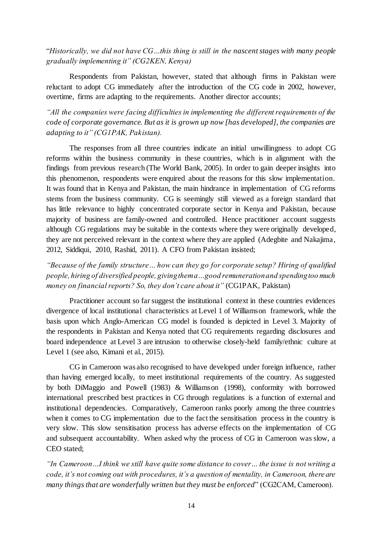"*Historically, we did not have CG…this thing is still in the nascent stages with many people gradually implementing it" (CG2KEN, Kenya)*

Respondents from Pakistan, however, stated that although firms in Pakistan were reluctant to adopt CG immediately after the introduction of the CG code in 2002, however, overtime, firms are adapting to the requirements. Another director accounts;

*"All the companies were facing difficulties in implementing the different requirements of the code of corporate governance. But as it is grown up now [has developed], the companies are adapting to it" (CG1PAK, Pakistan).*

The responses from all three countries indicate an initial unwillingness to adopt CG reforms within the business community in these countries, which is in alignment with the findings from previous research (The World Bank, 2005). In order to gain deeper insights into this phenomenon, respondents were enquired about the reasons for this slow implementation. It was found that in Kenya and Pakistan, the main hindrance in implementation of CG reforms stems from the business community. CG is seemingly still viewed as a foreign standard that has little relevance to highly concentrated corporate sector in Kenya and Pakistan, because majority of business are family-owned and controlled. Hence practitioner account suggests although CG regulations may be suitable in the contexts where they were originally developed, they are not perceived relevant in the context where they are applied (Adegbite and Nakajima, 2012, Siddiqui, 2010, Rashid, 2011). A CFO from Pakistan insisted;

*"Because of the family structure… how can they go for corporate setup? Hiring of qualified people, hiring of diversified people, giving them a…good remuneration and spending too much money on financial reports? So, they don't care about it"* (CG1PAK, Pakistan)

Practitioner account so far suggest the institutional context in these countries evidences divergence of local institutional characteristics at Level 1 of Williamson framework, while the basis upon which Anglo-American CG model is founded is depicted in Level 3. Majority of the respondents in Pakistan and Kenya noted that CG requirements regarding disclosures and board independence at Level 3 are intrusion to otherwise closely-held family/ethnic culture at Level 1 (see also, Kimani et al., 2015).

CG in Cameroon was also recognised to have developed under foreign influence, rather than having emerged locally, to meet institutional requirements of the country. As suggested by both DiMaggio and Powell (1983) & Williamson (1998), conformity with borrowed international prescribed best practices in CG through regulations is a function of external and institutional dependencies. Comparatively, Cameroon ranks poorly among the three countries when it comes to CG implementation due to the fact the sensitisation process in the country is very slow. This slow sensitisation process has adverse effects on the implementation of CG and subsequent accountability. When asked why the process of CG in Cameroon was slow, a CEO stated;

*"In Cameroon…I think we still have quite some distance to cover… the issue is not writing a code, it's not coming out with procedures, it's a question of mentality, in Cameroon, there are many things that are wonderfully written but they must be enforced*" (CG2CAM, Cameroon).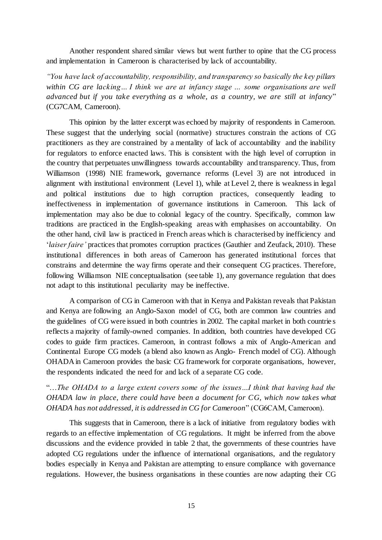Another respondent shared similar views but went further to opine that the CG process and implementation in Cameroon is characterised by lack of accountability.

*"You have lack of accountability, responsibility, and transparency so basically the key pillars within CG are lacking… I think we are at infancy stage … some organisations are well advanced but if you take everything as a whole, as a country, we are still at infancy*" (CG7CAM, Cameroon).

This opinion by the latter excerpt was echoed by majority of respondents in Cameroon. These suggest that the underlying social (normative) structures constrain the actions of CG practitioners as they are constrained by a mentality of lack of accountability and the inability for regulators to enforce enacted laws. This is consistent with the high level of corruption in the country that perpetuates unwillingness towards accountability and transparency. Thus, from Williamson (1998) NIE framework, governance reforms (Level 3) are not introduced in alignment with institutional environment (Level 1), while at Level 2, there is weakness in legal and political institutions due to high corruption practices, consequently leading to ineffectiveness in implementation of governance institutions in Cameroon. This lack of implementation may also be due to colonial legacy of the country. Specifically, common law traditions are practiced in the English-speaking areas with emphasises on accountability. On the other hand, civil law is practiced in French areas which is characterised by inefficiency and '*laiser faire'* practices that promotes corruption practices (Gauthier and Zeufack, 2010). These institutional differences in both areas of Cameroon has generated institutional forces that constrains and determine the way firms operate and their consequent CG practices. Therefore, following Williamson NIE conceptualisation (see table 1), any governance regulation that does not adapt to this institutional peculiarity may be ineffective.

A comparison of CG in Cameroon with that in Kenya and Pakistan reveals that Pakistan and Kenya are following an Anglo-Saxon model of CG, both are common law countries and the guidelines of CG were issued in both countries in 2002. The capital market in both countrie s reflects a majority of family-owned companies. In addition, both countries have developed CG codes to guide firm practices. Cameroon, in contrast follows a mix of Anglo-American and Continental Europe CG models (a blend also known as Anglo- French model of CG). Although OHADA in Cameroon provides the basic CG framework for corporate organisations, however, the respondents indicated the need for and lack of a separate CG code.

# "…*The OHADA to a large extent covers some of the issues…I think that having had the OHADA law in place, there could have been a document for CG, which now takes what OHADA has not addressed, it is addressed in CG for Cameroon*" (CG6CAM, Cameroon).

This suggests that in Cameroon, there is a lack of initiative from regulatory bodies with regards to an effective implementation of CG regulations. It might be inferred from the above discussions and the evidence provided in table 2 that, the governments of these countries have adopted CG regulations under the influence of international organisations, and the regulatory bodies especially in Kenya and Pakistan are attempting to ensure compliance with governance regulations. However, the business organisations in these counties are now adapting their CG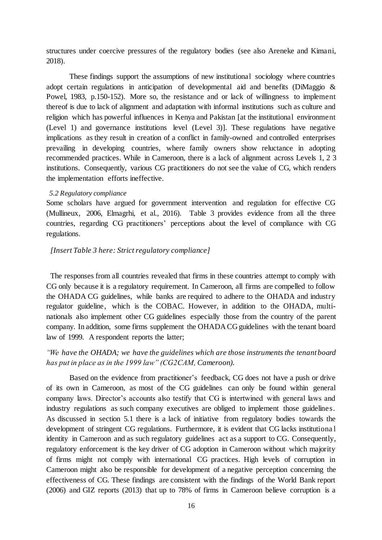structures under coercive pressures of the regulatory bodies (see also Areneke and Kimani, 2018).

These findings support the assumptions of new institutional sociology where countries adopt certain regulations in anticipation of developmental aid and benefits (DiMaggio & Powel, 1983, p.150-152). More so, the resistance and or lack of willingness to implement thereof is due to lack of alignment and adaptation with informal institutions such as culture and religion which has powerful influences in Kenya and Pakistan [at the institutional environment (Level 1) and governance institutions level (Level 3)]. These regulations have negative implications as they result in creation of a conflict in family-owned and controlled enterprises prevailing in developing countries, where family owners show reluctance in adopting recommended practices. While in Cameroon, there is a lack of alignment across Levels 1, 2 3 institutions. Consequently, various CG practitioners do not see the value of CG, which renders the implementation efforts ineffective.

#### *5.2 Regulatory compliance*

Some scholars have argued for government intervention and regulation for effective CG (Mullineux, 2006, Elmagrhi, et al., 2016). Table 3 provides evidence from all the three countries, regarding CG practitioners' perceptions about the level of compliance with CG regulations.

### *[Insert Table 3 here: Strict regulatory compliance]*

The responses from all countries revealed that firms in these countries attempt to comply with CG only because it is a regulatory requirement. In Cameroon, all firms are compelled to follow the OHADA CG guidelines, while banks are required to adhere to the OHADA and industry regulator guideline, which is the COBAC. However, in addition to the OHADA, multinationals also implement other CG guidelines especially those from the country of the parent company. In addition, some firms supplement the OHADA CG guidelines with the tenant board law of 1999. A respondent reports the latter;

# *"We have the OHADA; we have the guidelines which are those instruments the tenant board has put in place as in the 1999 law" (CG2CAM, Cameroon).*

Based on the evidence from practitioner's feedback, CG does not have a push or drive of its own in Cameroon, as most of the CG guidelines can only be found within general company laws. Director's accounts also testify that CG is intertwined with general laws and industry regulations as such company executives are obliged to implement those guidelines. As discussed in section 5.1 there is a lack of initiative from regulatory bodies towards the development of stringent CG regulations. Furthermore, it is evident that CG lacks institutiona l identity in Cameroon and as such regulatory guidelines act as a support to CG. Consequently, regulatory enforcement is the key driver of CG adoption in Cameroon without which majority of firms might not comply with international CG practices. High levels of corruption in Cameroon might also be responsible for development of a negative perception concerning the effectiveness of CG. These findings are consistent with the findings of the World Bank report (2006) and GIZ reports (2013) that up to 78% of firms in Cameroon believe corruption is a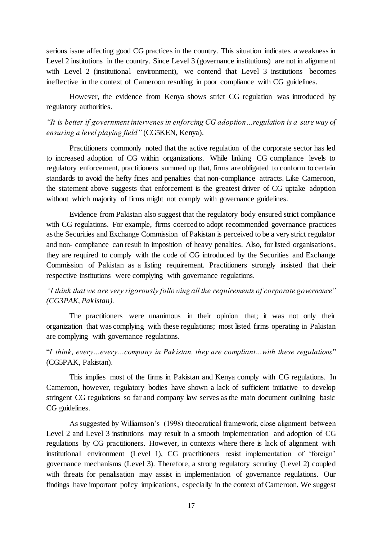serious issue affecting good CG practices in the country. This situation indicates a weakness in Level 2 institutions in the country. Since Level 3 (governance institutions) are not in alignment with Level 2 (institutional environment), we contend that Level 3 institutions becomes ineffective in the context of Cameroon resulting in poor compliance with CG guidelines.

However, the evidence from Kenya shows strict CG regulation was introduced by regulatory authorities.

# *"It is better if government intervenes in enforcing CG adoption…regulation is a sure way of ensuring a level playing field"* (CG5KEN, Kenya).

Practitioners commonly noted that the active regulation of the corporate sector has led to increased adoption of CG within organizations. While linking CG compliance levels to regulatory enforcement, practitioners summed up that, firms are obligated to conform to certain standards to avoid the hefty fines and penalties that non-compliance attracts. Like Cameroon, the statement above suggests that enforcement is the greatest driver of CG uptake adoption without which majority of firms might not comply with governance guidelines.

Evidence from Pakistan also suggest that the regulatory body ensured strict compliance with CG regulations. For example, firms coerced to adopt recommended governance practices as the Securities and Exchange Commission of Pakistan is perceived to be a very strict regulator and non- compliance can result in imposition of heavy penalties. Also, for listed organisations, they are required to comply with the code of CG introduced by the Securities and Exchange Commission of Pakistan as a listing requirement. Practitioners strongly insisted that their respective institutions were complying with governance regulations.

# *"I think that we are very rigorously following all the requirements of corporate governance" (CG3PAK, Pakistan).*

The practitioners were unanimous in their opinion that; it was not only their organization that was complying with these regulations; most listed firms operating in Pakistan are complying with governance regulations.

# "*I think, every…every…company in Pakistan, they are compliant…with these regulations*" (CG5PAK, Pakistan).

This implies most of the firms in Pakistan and Kenya comply with CG regulations. In Cameroon, however, regulatory bodies have shown a lack of sufficient initiative to develop stringent CG regulations so far and company law serves as the main document outlining basic CG guidelines.

As suggested by Williamson's (1998) theocratical framework, close alignment between Level 2 and Level 3 institutions may result in a smooth implementation and adoption of CG regulations by CG practitioners. However, in contexts where there is lack of alignment with institutional environment (Level 1), CG practitioners resist implementation of 'foreign' governance mechanisms (Level 3). Therefore, a strong regulatory scrutiny (Level 2) coupled with threats for penalisation may assist in implementation of governance regulations. Our findings have important policy implications, especially in the context of Cameroon. We suggest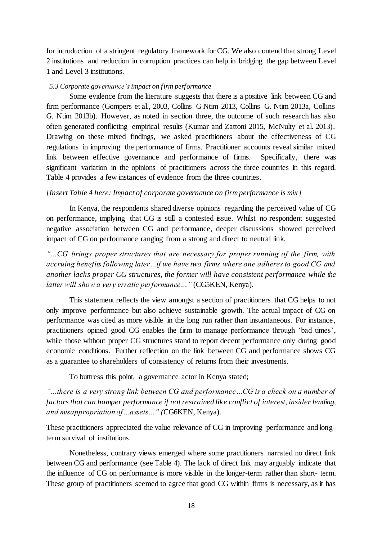for introduction of a stringent regulatory framework for CG. We also contend that strong Level 2 institutions and reduction in corruption practices can help in bridging the gap between Level 1 and Level 3 institutions.

#### *5.3 Corporate governance's impact on firm performance*

Some evidence from the literature suggests that there is a positive link between CG and firm performance (Gompers et al., 2003, Collins G Ntim 2013, Collins G. Ntim 2013a, Collins G. Ntim 2013b). However, as noted in section three, the outcome of such research has also often generated conflicting empirical results (Kumar and Zattoni 2015, McNulty et al. 2013). Drawing on these mixed findings, we asked practitioners about the effectiveness of CG regulations in improving the performance of firms. Practitioner accounts reveal similar mixed link between effective governance and performance of firms. Specifically, there was significant variation in the opinions of practitioners across the three countries in this regard. Table 4 provides a few instances of evidence from the three countries.

# *[Insert Table 4 here: Impact of corporate governance on firm performance is mix]*

In Kenya, the respondents shared diverse opinions regarding the perceived value of CG on performance, implying that CG is still a contested issue. Whilst no respondent suggested negative association between CG and performance, deeper discussions showed perceived impact of CG on performance ranging from a strong and direct to neutral link.

*"…CG brings proper structures that are necessary for proper running of the firm, with accruing benefits following later…if we have two firms where one adheres to good CG and another lacks proper CG structures, the former will have consistent performance while the latter will show a very erratic performance…"* (CG5KEN, Kenya).

This statement reflects the view amongst a section of practitioners that CG helps to not only improve performance but also achieve sustainable growth. The actual impact of CG on performance was cited as more visible in the long run rather than instantaneous. For instance, practitioners opined good CG enables the firm to manage performance through 'bad times', while those without proper CG structures stand to report decent performance only during good economic conditions. Further reflection on the link between CG and performance shows CG as a guarantee to shareholders of consistency of returns from their investments.

To buttress this point, a governance actor in Kenya stated;

*"…there is a very strong link between CG and performance…CG is a check on a number of factors that can hamper performance if not restrained like conflict of interest, insider lending, and misappropriation of…assets…" (*CG6KEN, Kenya).

These practitioners appreciated the value relevance of CG in improving performance and longterm survival of institutions.

Nonetheless, contrary views emerged where some practitioners narrated no direct link between CG and performance (see Table 4). The lack of direct link may arguably indicate that the influence of CG on performance is more visible in the longer-term rather than short- term. These group of practitioners seemed to agree that good CG within firms is necessary, as it has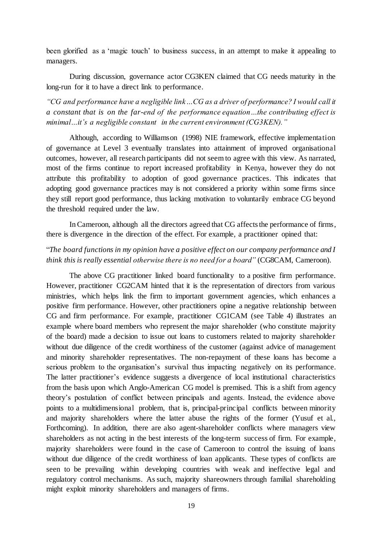been glorified as a 'magic touch' to business success, in an attempt to make it appealing to managers.

During discussion, governance actor CG3KEN claimed that CG needs maturity in the long-run for it to have a direct link to performance.

*"CG and performance have a negligible link…CG as a driver of performance? I would call it a constant that is on the far-end of the performance equation…the contributing effect is minimal…it's a negligible constant in the current environment (CG3KEN)."*

Although, according to Williamson (1998) NIE framework, effective implementation of governance at Level 3 eventually translates into attainment of improved organisational outcomes, however, all research participants did not seem to agree with this view. As narrated, most of the firms continue to report increased profitability in Kenya, however they do not attribute this profitability to adoption of good governance practices. This indicates that adopting good governance practices may is not considered a priority within some firms since they still report good performance, thus lacking motivation to voluntarily embrace CG beyond the threshold required under the law.

In Cameroon, although all the directors agreed that CG affects the performance of firms, there is divergence in the direction of the effect. For example, a practitioner opined that:

# "*The board functions in my opinion have a positive effect on our company performance and I think this is really essential otherwise there is no need for a board"* (CG8CAM, Cameroon).

The above CG practitioner linked board functionality to a positive firm performance. However, practitioner CG2CAM hinted that it is the representation of directors from various ministries, which helps link the firm to important government agencies, which enhances a positive firm performance. However, other practitioners opine a negative relationship between CG and firm performance. For example, practitioner CG1CAM (see Table 4) illustrates an example where board members who represent the major shareholder (who constitute majority of the board) made a decision to issue out loans to customers related to majority shareholder without due diligence of the credit worthiness of the customer (against advice of management and minority shareholder representatives. The non-repayment of these loans has become a serious problem to the organisation's survival thus impacting negatively on its performance. The latter practitioner's evidence suggests a divergence of local institutional characteristics from the basis upon which Anglo-American CG model is premised. This is a shift from agency theory's postulation of conflict between principals and agents. Instead, the evidence above points to a multidimensional problem, that is, principal-principal conflicts between minority and majority shareholders where the latter abuse the rights of the former (Yusuf et al., Forthcoming). In addition, there are also agent-shareholder conflicts where managers view shareholders as not acting in the best interests of the long-term success of firm. For example, majority shareholders were found in the case of Cameroon to control the issuing of loans without due diligence of the credit worthiness of loan applicants. These types of conflicts are seen to be prevailing within developing countries with weak and ineffective legal and regulatory control mechanisms. As such, majority shareowners through familial shareholding might exploit minority shareholders and managers of firms.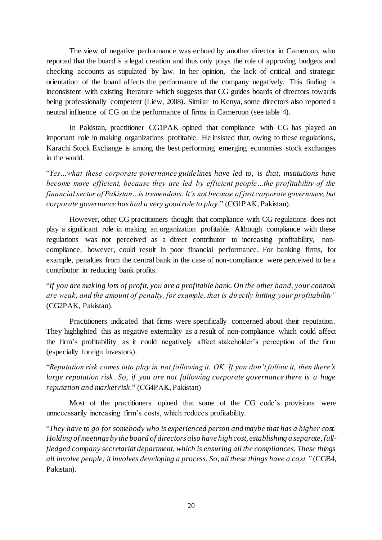The view of negative performance was echoed by another director in Cameroon, who reported that the board is a legal creation and thus only plays the role of approving budgets and checking accounts as stipulated by law. In her opinion, the lack of critical and strategic orientation of the board affects the performance of the company negatively. This finding is inconsistent with existing literature which suggests that CG guides boards of directors towards being professionally competent (Liew, 2008). Similar to Kenya, some directors also reported a neutral influence of CG on the performance of firms in Cameroon (see table 4).

In Pakistan, practitioner CG1PAK opined that compliance with CG has played an important role in making organizations profitable. He insisted that, owing to these regulations, Karachi Stock Exchange is among the best performing emerging economies stock exchanges in the world.

"*Yes…what these corporate governance guidelines have led to, is that, institutions have become more efficient, because they are led by efficient people…the profitability of the financial sector of Pakistan…is tremendous. It's not because of just corporate governance, but corporate governance has had a very good role to play*." (CG1PAK, Pakistan).

However, other CG practitioners thought that compliance with CG regulations does not play a significant role in making an organization profitable. Although compliance with these regulations was not perceived as a direct contributor to increasing profitability, noncompliance, however, could result in poor financial performance. For banking firms, for example, penalties from the central bank in the case of non-compliance were perceived to be a contributor in reducing bank profits.

"*If you are making lots of profit, you are a profitable bank. On the other hand, your controls are weak, and the amount of penalty, for example, that is directly hitting your profitability"* (CG2PAK, Pakistan).

Practitioners indicated that firms were specifically concerned about their reputation. They highlighted this as negative externality as a result of non-compliance which could affect the firm's profitability as it could negatively affect stakeholder's perception of the firm (especially foreign investors).

"*Reputation risk comes into play in not following it. OK. If you don't follow it, then there's large reputation risk. So, if you are not following corporate governance there is a huge reputation and market risk*." (CG4PAK, Pakistan)

Most of the practitioners opined that some of the CG code's provisions were unnecessarily increasing firm's costs, which reduces profitability.

"*They have to go for somebody who is experienced person and maybe that has a higher cost. Holding of meetings by the board of directors also have high cost, establishing a separate, fullfledged company secretariat department, which is ensuring all the compliances. These things all involve people; it involves developing a process. So, all these things have a cost."* (CGB4, Pakistan).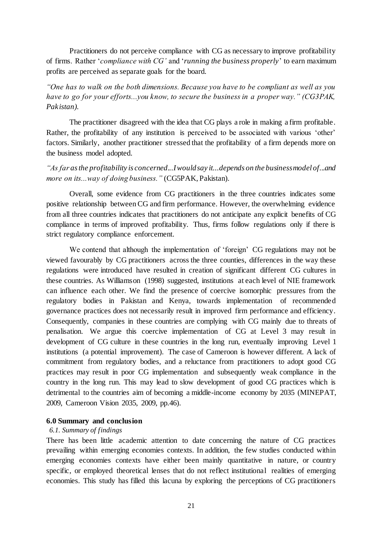Practitioners do not perceive compliance with CG as necessary to improve profitability of firms. Rather '*compliance with CG'* and '*running the business properly*' to earn maximum profits are perceived as separate goals for the board.

*"One has to walk on the both dimensions. Because you have to be compliant as well as you have to go for your efforts...you know, to secure the business in a proper way." (CG3PAK, Pakistan).*

The practitioner disagreed with the idea that CG plays a role in making a firm profitable. Rather, the profitability of any institution is perceived to be associated with various 'other' factors. Similarly, another practitioner stressed that the profitability of a firm depends more on the business model adopted.

# *"As far as the profitability is concerned...I would say it...depends on the business model of...and more on its...way of doing business."* (CG5PAK, Pakistan).

Overall, some evidence from CG practitioners in the three countries indicates some positive relationship between CG and firm performance. However, the overwhelming evidence from all three countries indicates that practitioners do not anticipate any explicit benefits of CG compliance in terms of improved profitability. Thus, firms follow regulations only if there is strict regulatory compliance enforcement.

We contend that although the implementation of 'foreign' CG regulations may not be viewed favourably by CG practitioners across the three counties, differences in the way these regulations were introduced have resulted in creation of significant different CG cultures in these countries. As Williamson (1998) suggested, institutions at each level of NIE framework can influence each other. We find the presence of coercive isomorphic pressures from the regulatory bodies in Pakistan and Kenya, towards implementation of recommended governance practices does not necessarily result in improved firm performance and efficiency. Consequently, companies in these countries are complying with CG mainly due to threats of penalisation. We argue this coercive implementation of CG at Level 3 may result in development of CG culture in these countries in the long run, eventually improving Level 1 institutions (a potential improvement). The case of Cameroon is however different. A lack of commitment from regulatory bodies, and a reluctance from practitioners to adopt good CG practices may result in poor CG implementation and subsequently weak compliance in the country in the long run. This may lead to slow development of good CG practices which is detrimental to the countries aim of becoming a middle-income economy by 2035 (MINEPAT, 2009, Cameroon Vision 2035, 2009, pp.46).

# **6.0 Summary and conclusion**

# *6.1. Summary of findings*

There has been little academic attention to date concerning the nature of CG practices prevailing within emerging economies contexts. In addition, the few studies conducted within emerging economies contexts have either been mainly quantitative in nature, or country specific, or employed theoretical lenses that do not reflect institutional realities of emerging economies. This study has filled this lacuna by exploring the perceptions of CG practitioners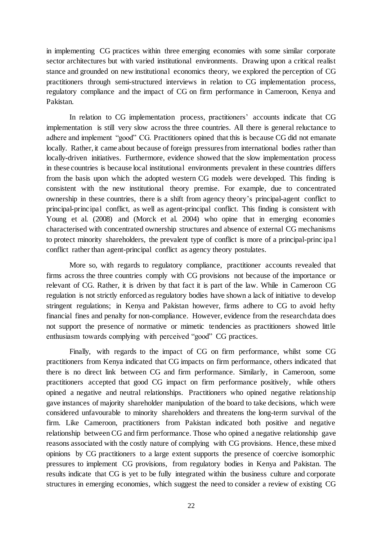in implementing CG practices within three emerging economies with some similar corporate sector architectures but with varied institutional environments. Drawing upon a critical realist stance and grounded on new institutional economics theory, we explored the perception of CG practitioners through semi-structured interviews in relation to CG implementation process, regulatory compliance and the impact of CG on firm performance in Cameroon, Kenya and Pakistan.

In relation to CG implementation process, practitioners' accounts indicate that CG implementation is still very slow across the three countries. All there is general reluctance to adhere and implement "good" CG. Practitioners opined that this is because CG did not emanate locally. Rather, it came about because of foreign pressures from international bodies rather than locally-driven initiatives. Furthermore, evidence showed that the slow implementation process in these countries is because local institutional environments prevalent in these countries differs from the basis upon which the adopted western CG models were developed. This finding is consistent with the new institutional theory premise. For example, due to concentrated ownership in these countries, there is a shift from agency theory's principal-agent conflict to principal-principal conflict, as well as agent-principal conflict. This finding is consistent with Young et al. (2008) and (Morck et al. 2004) who opine that in emerging economies characterised with concentrated ownership structures and absence of external CG mechanisms to protect minority shareholders, the prevalent type of conflict is more of a principal-princ ipa l conflict rather than agent-principal conflict as agency theory postulates.

More so, with regards to regulatory compliance, practitioner accounts revealed that firms across the three countries comply with CG provisions not because of the importance or relevant of CG. Rather, it is driven by that fact it is part of the law. While in Cameroon CG regulation is not strictly enforced as regulatory bodies have shown a lack of initiative to develop stringent regulations; in Kenya and Pakistan however, firms adhere to CG to avoid hefty financial fines and penalty for non-compliance. However, evidence from the research data does not support the presence of normative or mimetic tendencies as practitioners showed little enthusiasm towards complying with perceived "good" CG practices.

Finally, with regards to the impact of CG on firm performance, whilst some CG practitioners from Kenya indicated that CG impacts on firm performance, others indicated that there is no direct link between CG and firm performance. Similarly, in Cameroon, some practitioners accepted that good CG impact on firm performance positively, while others opined a negative and neutral relationships. Practitioners who opined negative relationship gave instances of majority shareholder manipulation of the board to take decisions, which were considered unfavourable to minority shareholders and threatens the long-term survival of the firm. Like Cameroon, practitioners from Pakistan indicated both positive and negative relationship between CG and firm performance. Those who opined a negative relationship gave reasons associated with the costly nature of complying with CG provisions. Hence, these mixed opinions by CG practitioners to a large extent supports the presence of coercive isomorphic pressures to implement CG provisions, from regulatory bodies in Kenya and Pakistan. The results indicate that CG is yet to be fully integrated within the business culture and corporate structures in emerging economies, which suggest the need to consider a review of existing CG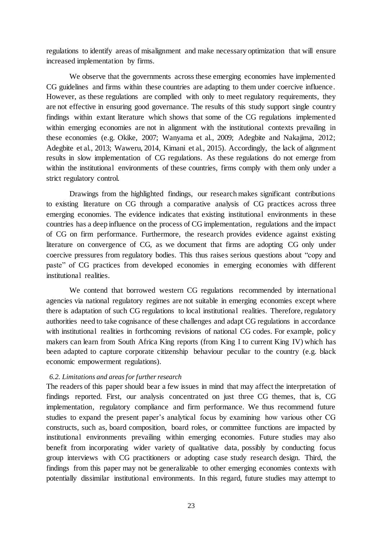regulations to identify areas of misalignment and make necessary optimization that will ensure increased implementation by firms.

We observe that the governments across these emerging economies have implemented CG guidelines and firms within these countries are adapting to them under coercive influence. However, as these regulations are complied with only to meet regulatory requirements, they are not effective in ensuring good governance. The results of this study support single country findings within extant literature which shows that some of the CG regulations implemented within emerging economies are not in alignment with the institutional contexts prevailing in these economies (e.g. Okike, 2007; Wanyama et al., 2009; Adegbite and Nakajima, 2012; Adegbite et al., 2013; Waweru, 2014, Kimani et al., 2015). Accordingly, the lack of alignment results in slow implementation of CG regulations. As these regulations do not emerge from within the institutional environments of these countries, firms comply with them only under a strict regulatory control.

Drawings from the highlighted findings, our research makes significant contributions to existing literature on CG through a comparative analysis of CG practices across three emerging economies. The evidence indicates that existing institutional environments in these countries has a deep influence on the process of CG implementation, regulations and the impact of CG on firm performance. Furthermore, the research provides evidence against existing literature on convergence of CG, as we document that firms are adopting CG only under coercive pressures from regulatory bodies. This thus raises serious questions about "copy and paste" of CG practices from developed economies in emerging economies with different institutional realities.

We contend that borrowed western CG regulations recommended by international agencies via national regulatory regimes are not suitable in emerging economies except where there is adaptation of such CG regulations to local institutional realities. Therefore, regulatory authorities need to take cognisance of these challenges and adapt CG regulations in accordance with institutional realities in forthcoming revisions of national CG codes. For example, policy makers can learn from South Africa King reports (from King I to current King IV) which has been adapted to capture corporate citizenship behaviour peculiar to the country (e.g. black economic empowerment regulations).

### *6.2. Limitations and areas for further research*

The readers of this paper should bear a few issues in mind that may affect the interpretation of findings reported. First, our analysis concentrated on just three CG themes, that is, CG implementation, regulatory compliance and firm performance. We thus recommend future studies to expand the present paper's analytical focus by examining how various other CG constructs, such as, board composition, board roles, or committee functions are impacted by institutional environments prevailing within emerging economies. Future studies may also benefit from incorporating wider variety of qualitative data, possibly by conducting focus group interviews with CG practitioners or adopting case study research design. Third, the findings from this paper may not be generalizable to other emerging economies contexts with potentially dissimilar institutional environments. In this regard, future studies may attempt to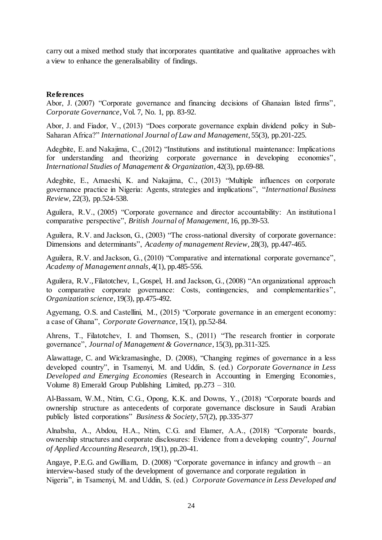carry out a mixed method study that incorporates quantitative and qualitative approaches with a view to enhance the generalisability of findings.

### **References**

Abor, J. (2007) "Corporate governance and financing decisions of Ghanaian listed firms", *Corporate Governance*, Vol. 7, No. 1, pp. 83-92.

Abor, J. and Fiador, V., (2013) "Does corporate governance explain dividend policy in Sub-Saharan Africa?" *International Journal of Law and Management*, 55(3), pp.201-225.

Adegbite, E. and Nakajima, C., (2012) "Institutions and institutional maintenance: Implications for understanding and theorizing corporate governance in developing economies", *International Studies of Management & Organization*, 42(3), pp.69-88.

Adegbite, E., Amaeshi, K. and Nakajima, C., (2013) "Multiple influences on corporate governance practice in Nigeria: Agents, strategies and implications", "*International Business Review*, 22(3), pp.524-538.

Aguilera, R.V., (2005) "Corporate governance and director accountability: An institutiona l comparative perspective", *British Journal of Management*, 16, pp.39-53.

Aguilera, R.V. and Jackson, G., (2003) "The cross-national diversity of corporate governance: Dimensions and determinants", *Academy of management Review*, 28(3), pp.447-465.

Aguilera, R.V. and Jackson, G., (2010) "Comparative and international corporate governance", *Academy of Management annals*, 4(1), pp.485-556.

Aguilera, R.V., Filatotchev, I., Gospel, H. and Jackson, G., (2008) "An organizational approach to comparative corporate governance: Costs, contingencies, and complementarities", *Organization science*, 19(3), pp.475-492.

Agyemang, O.S. and Castellini, M., (2015) "Corporate governance in an emergent economy: a case of Ghana", *Corporate Governance*, 15(1), pp.52-84.

Ahrens, T., Filatotchev, I. and Thomsen, S., (2011) "The research frontier in corporate governance", *Journal of Management & Governance*, 15(3), pp.311-325.

Alawattage, C. and Wickramasinghe, D. (2008), "Changing regimes of governance in a less developed country", in Tsamenyi, M. and Uddin, S. (ed.) *Corporate Governance in Less Developed and Emerging Economies* (Research in Accounting in Emerging Economies, Volume 8) Emerald Group Publishing Limited, pp.273 – 310.

Al-Bassam, W.M., Ntim, C.G., Opong, K.K. and Downs, Y., (2018) "Corporate boards and ownership structure as antecedents of corporate governance disclosure in Saudi Arabian publicly listed corporations" *Business & Society*, 57(2), pp.335-377

Alnabsha, A., Abdou, H.A., Ntim, C.G. and Elamer, A.A., (2018) "Corporate boards, ownership structures and corporate disclosures: Evidence from a developing country", *Journal of Applied Accounting Research*, 19(1), pp.20-41.

Angaye, P.E.G. and Gwilliam, D. (2008) "Corporate governance in infancy and growth – an interview-based study of the development of governance and corporate regulation in Nigeria", in Tsamenyi, M. and Uddin, S. (ed.) *Corporate Governance in Less Developed and*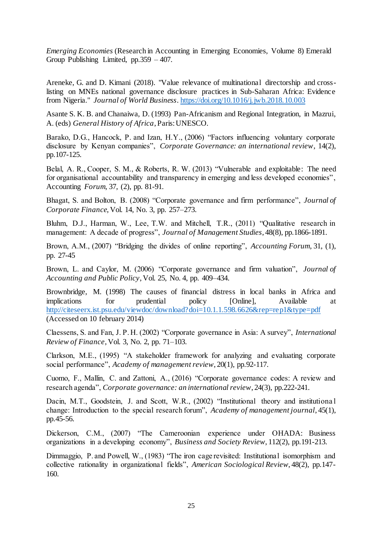*Emerging Economies* (Research in Accounting in Emerging Economies, Volume 8) Emerald Group Publishing Limited, pp.359 – 407.

Areneke, G. and D. Kimani (2018). "Value relevance of multinational directorship and crosslisting on MNEs national governance disclosure practices in Sub-Saharan Africa: Evidence from Nigeria." *Journal of World Business*. <https://doi.org/10.1016/j.jwb.2018.10.003>

Asante S. K. B. and Chanaiwa, D. (1993) Pan-Africanism and Regional Integration, in Mazrui, A. (eds) *General History of Africa*, Paris: UNESCO.

Barako, D.G., Hancock, P. and Izan, H.Y., (2006) "Factors influencing voluntary corporate disclosure by Kenyan companies", *Corporate Governance: an international review*, 14(2), pp.107-125.

Belal, A. R., Cooper, S. M., & Roberts, R. W. (2013) "Vulnerable and exploitable: The need for organisational accountability and transparency in emerging and less developed economies", Accounting *Forum*, 37, (2), pp. 81-91.

Bhagat, S. and Bolton, B. (2008) "Corporate governance and firm performance", *Journal of Corporate Finance*, Vol. 14, No. 3, pp. 257–273.

Bluhm, D.J., Harman, W., Lee, T.W. and Mitchell, T.R., (2011) "Qualitative research in management: A decade of progress", *Journal of Management Studies*, 48(8), pp.1866-1891.

Brown, A.M., (2007) "Bridging the divides of online reporting", *Accounting Forum*, 31, (1), pp. 27-45

Brown, L. and Caylor, M. (2006) "Corporate governance and firm valuation", *Journal of Accounting and Public Policy*, Vol. 25, No. 4, pp. 409–434.

Brownbridge, M. (1998) The causes of financial distress in local banks in Africa and implications for prudential policy [Online], Available at <http://citeseerx.ist.psu.edu/viewdoc/download?doi=10.1.1.598.6626&rep=rep1&type=pdf> (Accessed on 10 february 2014)

Claessens, S. and Fan, J. P. H. (2002) "Corporate governance in Asia: A survey", *International Review of Finance*, Vol. 3, No. 2, pp. 71–103.

Clarkson, M.E., (1995) "A stakeholder framework for analyzing and evaluating corporate social performance", *Academy of management review*, 20(1), pp.92-117.

Cuomo, F., Mallin, C. and Zattoni, A., (2016) "Corporate governance codes: A review and research agenda", *Corporate governance: an international review*, 24(3), pp.222-241.

Dacin, M.T., Goodstein, J. and Scott, W.R., (2002) "Institutional theory and institutional change: Introduction to the special research forum", *Academy of management journal*, 45(1), pp.45-56.

Dickerson, C.M., (2007) "The Cameroonian experience under OHADA: Business organizations in a developing economy", *Business and Society Review*, 112(2), pp.191-213.

Dimmaggio, P. and Powell, W., (1983) "The iron cage revisited: Institutional isomorphism and collective rationality in organizational fields", *American Sociological Review*, 48(2), pp.147- 160.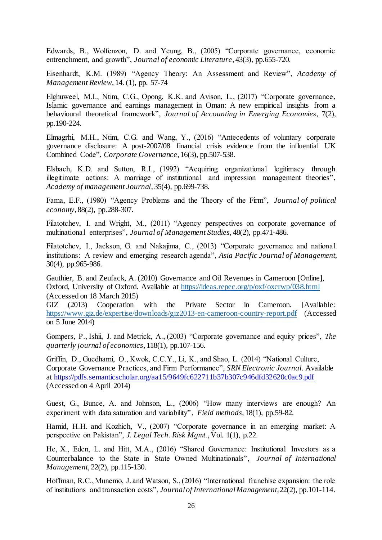Edwards, B., Wolfenzon, D. and Yeung, B., (2005) "Corporate governance, economic entrenchment, and growth", *Journal of economic Literature*, 43(3), pp.655-720.

Eisenhardt, K.M. (1989) "Agency Theory: An Assessment and Review", *Academy of Management Review*, 14. (1), pp. 57-74

Elghuweel, M.I., Ntim, C.G., Opong, K.K. and Avison, L., (2017) "Corporate governance, Islamic governance and earnings management in Oman: A new empirical insights from a behavioural theoretical framework", *Journal of Accounting in Emerging Economies*, 7(2), pp.190-224.

Elmagrhi, M.H., Ntim, C.G. and Wang, Y., (2016) "Antecedents of voluntary corporate governance disclosure: A post-2007/08 financial crisis evidence from the influential UK Combined Code", *Corporate Governance*, 16(3), pp.507-538.

Elsbach, K.D. and Sutton, R.I., (1992) "Acquiring organizational legitimacy through illegitimate actions: A marriage of institutional and impression management theories", *Academy of management Journal*, 35(4), pp.699-738.

Fama, E.F., (1980) "Agency Problems and the Theory of the Firm", *Journal of political economy*, 88(2), pp.288-307.

Filatotchev, I. and Wright, M., (2011) "Agency perspectives on corporate governance of multinational enterprises", *Journal of Management Studies*, 48(2), pp.471-486.

Filatotchev, I., Jackson, G. and Nakajima, C., (2013) "Corporate governance and national institutions: A review and emerging research agenda", *Asia Pacific Journal of Management*, 30(4), pp.965-986.

Gauthier, B. and Zeufack, A. (2010) Governance and Oil Revenues in Cameroon [Online], Oxford, University of Oxford. Available at<https://ideas.repec.org/p/oxf/oxcrwp/038.html> (Accessed on 18 March 2015)

GIZ (2013) Cooperation with the Private Sector in Cameroon. [Available: <https://www.giz.de/expertise/downloads/giz2013-en-cameroon-country-report.pdf> (Accessed on 5 June 2014)

Gompers, P., Ishii, J. and Metrick, A., (2003) "Corporate governance and equity prices", *The quarterly journal of economics*, 118(1), pp.107-156.

Griffin, D., Guedhami, O., Kwok, C.C.Y., Li, K., and Shao, L. (2014) "National Culture, Corporate Governance Practices, and Firm Performance", *SRN Electronic Journal*. Available a[t https://pdfs.semanticscholar.org/aa15/9649fc622711b37b307c946dfd32620c0ac9.pdf](https://pdfs.semanticscholar.org/aa15/9649fc622711b37b307c946dfd32620c0ac9.pdf) (Accessed on 4 April 2014)

Guest, G., Bunce, A. and Johnson, L., (2006) "How many interviews are enough? An experiment with data saturation and variability", *Field methods*, 18(1), pp.59-82.

Hamid, H.H. and Kozhich, V., (2007) "Corporate governance in an emerging market: A perspective on Pakistan", *J. Legal Tech. Risk Mgmt.*, Vol. 1(1), p.22.

He, X., Eden, L. and Hitt, M.A., (2016) "Shared Governance: Institutional Investors as a Counterbalance to the State in State Owned Multinationals", *Journal of International Management*, 22(2), pp.115-130.

Hoffman, R.C., Munemo, J. and Watson, S., (2016) "International franchise expansion: the role of institutions and transaction costs", *Journal of International Management*, 22(2), pp.101-114.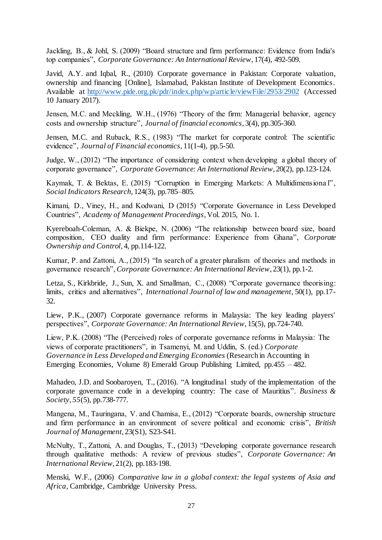Jackling, B., & Johl, S. (2009) "Board structure and firm performance: Evidence from India's top companies", *Corporate Governance: An International Review*, 17(4), 492-509.

Javid, A.Y. and Iqbal, R., (2010) Corporate governance in Pakistan: Corporate valuation, ownership and financing [Online], Islamabad, Pakistan Institute of Development Economics. Available at<http://www.pide.org.pk/pdr/index.php/wp/article/viewFile/2953/2902> (Accessed 10 January 2017).

Jensen, M.C. and Meckling, W.H., (1976) "Theory of the firm: Managerial behavior, agency costs and ownership structure", *Journal of financial economics*, 3(4), pp.305-360.

Jensen, M.C. and Ruback, R.S., (1983) "The market for corporate control: The scientific evidence", *Journal of Financial economics*, 11(1-4), pp.5-50.

Judge, W., (2012) "The importance of considering context when developing a global theory of corporate governance", *Corporate Governance: An International Review*, 20(2), pp.123-124.

Kaymak, T. & Bektas, E. (2015) "Corruption in Emerging Markets: A Multidimensiona l", *Social Indicators Research*, 124(3), pp.785–805.

Kimani, D., Viney, H., and Kodwani, D (2015) "Corporate Governance in Less Developed Countries", *Academy of Management Proceedings*, Vol. 2015, No. 1.

Kyereboah-Coleman, A. & Biekpe, N. (2006) "The relationship between board size, board composition, CEO duality and firm performance: Experience from Ghana", *Corporate Ownership and Control*, 4, pp.114-122.

Kumar, P. and Zattoni, A., (2015) "In search of a greater pluralism of theories and methods in governance research", *Corporate Governance: An International Review*, 23(1), pp.1-2.

Letza, S., Kirkbride, J., Sun, X. and Smallman, C., (2008) "Corporate governance theorising: limits, critics and alternatives", *International Journal of law and management*, 50(1), pp.17- 32.

Liew, P.K., (2007) Corporate governance reforms in Malaysia: The key leading players' perspectives", *Corporate Governance: An International Review*, 15(5), pp.724-740.

Liew, P.K. (2008) "The (Perceived) roles of corporate governance reforms in Malaysia: The views of corporate practitioners", in Tsamenyi, M. and Uddin, S. (ed.) *Corporate Governance in Less Developed and Emerging Economies* (Research in Accounting in Emerging Economies, Volume 8) Emerald Group Publishing Limited, pp.455 – 482.

Mahadeo, J.D. and Soobaroyen, T., (2016). "A longitudinal study of the implementation of the corporate governance code in a developing country: The case of Mauritius". *Business & Society*, *55*(5), pp.738-777.

Mangena, M., Tauringana, V. and Chamisa, E., (2012) "Corporate boards, ownership structure and firm performance in an environment of severe political and economic crisis", *British Journal of Management*, 23(S1), S23-S41.

McNulty, T., Zattoni, A. and Douglas, T., (2013) "Developing corporate governance research through qualitative methods: A review of previous studies", *Corporate Governance: An International Review*, 21(2), pp.183-198.

Menski, W.F., (2006) *Comparative law in a global context: the legal systems of Asia and Africa,* Cambridge, Cambridge University Press.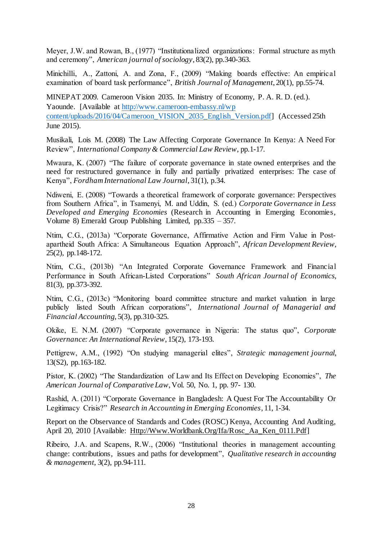Meyer, J.W. and Rowan, B., (1977) "Institutionalized organizations: Formal structure as myth and ceremony", *American journal of sociology*, 83(2), pp.340-363.

Minichilli, A., Zattoni, A. and Zona, F., (2009) "Making boards effective: An empirical examination of board task performance", *British Journal of Management*, 20(1), pp.55-74.

MINEPAT 2009. Cameroon Vision 2035. In: Ministry of Economy, P. A. R. D. (ed.). Yaounde. [Available at [http://www.cameroon-embassy.nl/wp](http://www.cameroon-embassy.nl/wp%20content/uploads/2016/04/Cameroon_VISION_2035_English_Version.pdf)  [content/uploads/2016/04/Cameroon\\_VISION\\_2035\\_English\\_Version.pdf\]](http://www.cameroon-embassy.nl/wp%20content/uploads/2016/04/Cameroon_VISION_2035_English_Version.pdf) (Accessed 25th June 2015).

Musikali, Lois M. (2008) The Law Affecting Corporate Governance In Kenya: A Need For Review", *International Company & Commercial Law Review*, pp.1-17.

Mwaura, K. (2007) "The failure of corporate governance in state owned enterprises and the need for restructured governance in fully and partially privatized enterprises: The case of Kenya", *Fordham International Law Journal*, 31(1), p.34.

Ndiweni, E. (2008) "Towards a theoretical framework of corporate governance: Perspectives from Southern Africa", in Tsamenyi, M. and Uddin, S. (ed.) *Corporate Governance in Less Developed and Emerging Economies* (Research in Accounting in Emerging Economies, Volume 8) Emerald Group Publishing Limited, pp.335 – 357.

Ntim, C.G., (2013a) "Corporate Governance, Affirmative Action and Firm Value in Postapartheid South Africa: A Simultaneous Equation Approach", *African Development Review*, 25(2), pp.148-172.

Ntim, C.G., (2013b) "An Integrated Corporate Governance Framework and Financial Performance in South African‐Listed Corporations" *South African Journal of Economics*, 81(3), pp.373-392.

Ntim, C.G., (2013c) "Monitoring board committee structure and market valuation in large publicly listed South African corporations", *International Journal of Managerial and Financial Accounting*, 5(3), pp.310-325.

Okike, E. N.M. (2007) "Corporate governance in Nigeria: The status quo", *Corporate Governance: An International Review*, 15(2), 173-193.

Pettigrew, A.M., (1992) "On studying managerial elites", *Strategic management journal*, 13(S2), pp.163-182.

Pistor, K. (2002) "The Standardization of Law and Its Effect on Developing Economies", *The American Journal of Comparative Law*, Vol. 50, No. 1, pp. 97- 130.

Rashid, A. (2011) "Corporate Governance in Bangladesh: A Quest For The Accountability Or Legitimacy Crisis?" *Research in Accounting in Emerging Economies*, 11, 1-34.

Report on the Observance of Standards and Codes (ROSC) Kenya, Accounting And Auditing, April 20, 2010 [Available: [Http://Www.Worldbank.Org/Ifa/Rosc\\_Aa\\_Ken\\_0111.Pdf\]](http://www.worldbank.org/Ifa/Rosc_Aa_Ken_0111.Pdf)

Ribeiro, J.A. and Scapens, R.W., (2006) "Institutional theories in management accounting change: contributions, issues and paths for development", *Qualitative research in accounting & management*, 3(2), pp.94-111.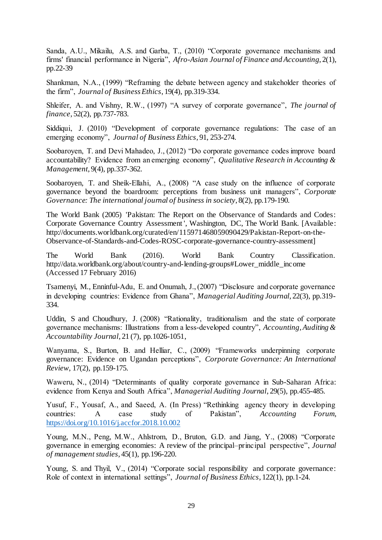Sanda, A.U., Mikailu, A.S. and Garba, T., (2010) "Corporate governance mechanisms and firms' financial performance in Nigeria", *Afro-Asian Journal of Finance and Accounting*, 2(1), pp.22-39

Shankman, N.A., (1999) "Reframing the debate between agency and stakeholder theories of the firm", *Journal of Business Ethics*, 19(4), pp.319-334.

Shleifer, A. and Vishny, R.W., (1997) "A survey of corporate governance", *The journal of finance*, 52(2), pp.737-783.

Siddiqui, J. (2010) "Development of corporate governance regulations: The case of an emerging economy", *Journal of Business Ethics*, 91, 253-274.

Soobaroyen, T. and Devi Mahadeo, J., (2012) "Do corporate governance codes improve board accountability? Evidence from an emerging economy", *Qualitative Research in Accounting & Management*, 9(4), pp.337-362.

Soobaroyen, T. and Sheik-Ellahi, A., (2008) "A case study on the influence of corporate governance beyond the boardroom: perceptions from business unit managers", *Corporate Governance: The international journal of business in society*, 8(2), pp.179-190.

The World Bank (2005) 'Pakistan: The Report on the Observance of Standards and Codes: Corporate Governance Country Assessment ', Washington, DC, The World Bank. [Available: http://documents.worldbank.org/curated/en/115971468059090429/Pakistan-Report-on-the-Observance-of-Standards-and-Codes-ROSC-corporate-governance-country-assessment]

The World Bank (2016). World Bank Country Classification. http://data.worldbank.org/about/country-and-lending-groups#Lower\_middle\_income (Accessed 17 February 2016)

Tsamenyi, M., Enninful-Adu, E. and Onumah, J., (2007) "Disclosure and corporate governance in developing countries: Evidence from Ghana", *Managerial Auditing Journal*, 22(3), pp.319- 334.

[Uddin,](https://www.emeraldinsight.com/author/Uddin%2C+Shahzad) S and [Choudhury,](https://www.emeraldinsight.com/author/Choudhury%2C+Jamal) J. (2008) "Rationality, traditionalism and the state of corporate governance mechanisms: Illustrations from a less‐developed country", *Accounting, Auditing & Accountability Journal*, 21 (7), pp.1026-1051,

Wanyama, S., Burton, B. and Helliar, C., (2009) "Frameworks underpinning corporate governance: Evidence on Ugandan perceptions", *Corporate Governance: An International Review*, 17(2), pp.159-175.

Waweru, N., (2014) "Determinants of quality corporate governance in Sub-Saharan Africa: evidence from Kenya and South Africa", *Managerial Auditing Journal*, 29(5), pp.455-485.

Yusuf, F., Yousaf, A., and Saeed, A. (In Press) "Rethinking agency theory in developing countries: A case study of Pakistan", *Accounting Forum*, <https://doi.org/10.1016/j.accfor.2018.10.002>

Young, M.N., Peng, M.W., Ahlstrom, D., Bruton, G.D. and Jiang, Y., (2008) "Corporate governance in emerging economies: A review of the principal–principal perspective", *Journal of management studies*, 45(1), pp.196-220.

Young, S. and Thyil, V., (2014) "Corporate social responsibility and corporate governance: Role of context in international settings", *Journal of Business Ethics*, 122(1), pp.1-24.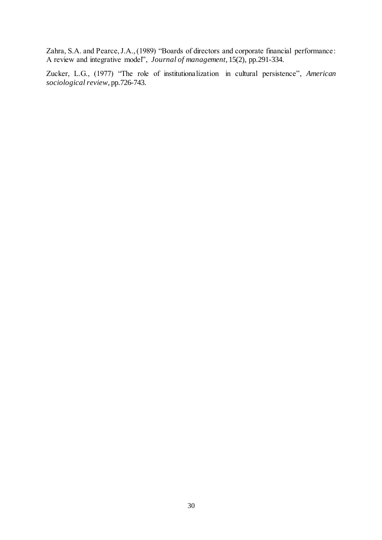Zahra, S.A. and Pearce, J.A., (1989) "Boards of directors and corporate financial performance: A review and integrative model", *Journal of management*, 15(2), pp.291-334.

Zucker, L.G., (1977) "The role of institutionalization in cultural persistence", *American sociological review*, pp.726-743.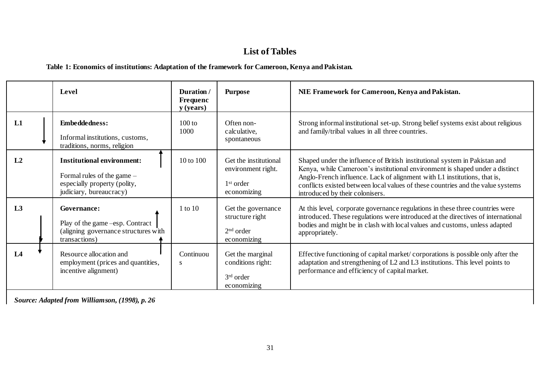# **List of Tables**

**Table 1: Economics of institutions: Adaptation of the framework for Cameroon, Kenya and Pakistan.**

|                | Level                                                                                                                      | Duration /<br><b>Frequenc</b><br>y (years) | <b>Purpose</b>                                                                      | NIE Framework for Cameroon, Kenya and Pakistan.                                                                                                                                                                                                                                                                                                              |
|----------------|----------------------------------------------------------------------------------------------------------------------------|--------------------------------------------|-------------------------------------------------------------------------------------|--------------------------------------------------------------------------------------------------------------------------------------------------------------------------------------------------------------------------------------------------------------------------------------------------------------------------------------------------------------|
| L1             | <b>Embeddedness:</b><br>Informal institutions, customs,<br>traditions, norms, religion                                     | $100$ to<br>1000                           | Often non-<br>calculative,<br>spontaneous                                           | Strong informal institutional set-up. Strong belief systems exist about religious<br>and family/tribal values in all three countries.                                                                                                                                                                                                                        |
| L <sub>2</sub> | <b>Institutional environment:</b><br>Formal rules of the game –<br>especially property (polity,<br>judiciary, bureaucracy) | 10 to 100                                  | Get the institutional<br>environment right.<br>1 <sup>st</sup> order<br>economizing | Shaped under the influence of British institutional system in Pakistan and<br>Kenya, while Cameroon's institutional environment is shaped under a distinct<br>Anglo-French influence. Lack of alignment with L1 institutions, that is,<br>conflicts existed between local values of these countries and the value systems<br>introduced by their colonisers. |
| L <sub>3</sub> | Governance:<br>Play of the game -esp. Contract<br>(aligning governance structures with<br>transactions)                    | 1 to 10                                    | Get the governance<br>structure right<br>2 <sup>nd</sup> order<br>economizing       | At this level, corporate governance regulations in these three countries were<br>introduced. These regulations were introduced at the directives of international<br>bodies and might be in clash with local values and customs, unless adapted<br>appropriately.                                                                                            |
| L4             | Resource allocation and<br>employment (prices and quantities,<br>incentive alignment)                                      | Continuou<br>S                             | Get the marginal<br>conditions right:<br>3rd order<br>economizing                   | Effective functioning of capital market/corporations is possible only after the<br>adaptation and strengthening of L2 and L3 institutions. This level points to<br>performance and efficiency of capital market.                                                                                                                                             |

*Source: Adapted from Williamson, (1998), p. 26*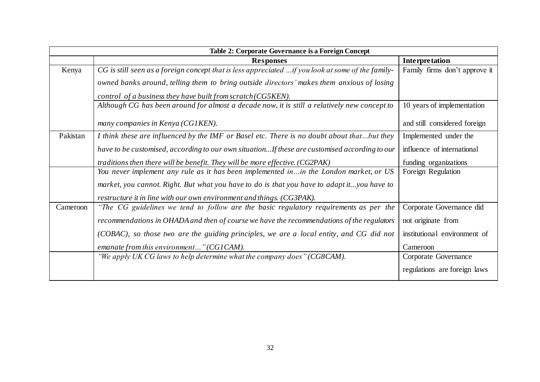|          | Table 2: Corporate Governance is a Foreign Concept                                                |                               |  |  |  |
|----------|---------------------------------------------------------------------------------------------------|-------------------------------|--|--|--|
|          | <b>Responses</b>                                                                                  | <b>Interpretation</b>         |  |  |  |
| Kenya    | CG is still seen as a foreign concept that is less appreciated if you look at some of the family- | Family firms don't approve it |  |  |  |
|          | owned banks around, telling them to bring outside directors' makes them anxious of losing         |                               |  |  |  |
|          | control of a business they have built from scratch (CG5KEN).                                      |                               |  |  |  |
|          | Although CG has been around for almost a decade now, it is still a relatively new concept to      | 10 years of implementation    |  |  |  |
|          | many companies in Kenya (CG1KEN).                                                                 | and still considered foreign  |  |  |  |
| Pakistan | I think these are influenced by the IMF or Basel etc. There is no doubt about thatbut they        | Implemented under the         |  |  |  |
|          | have to be customised, according to our own situationIf these are customised according to our     | influence of international    |  |  |  |
|          | traditions then there will be benefit. They will be more effective. (CG2PAK)                      | funding organizations         |  |  |  |
|          | You never implement any rule as it has been implemented inin the London market, or US             | Foreign Regulation            |  |  |  |
|          | market, you cannot. Right. But what you have to do is that you have to adapt ityou have to        |                               |  |  |  |
|          | restructure it in line with our own environment and things. (CG3PAK).                             |                               |  |  |  |
| Cameroon | "The CG guidelines we tend to follow are the basic regulatory requirements as per the             | Corporate Governance did      |  |  |  |
|          | recommendations in OHADA and then of course we have the recommendations of the regulators         | not originate from            |  |  |  |
|          | (COBAC), so those two are the guiding principles, we are a local entity, and CG did not           | institutional environment of  |  |  |  |
|          | emanate from this environment" (CG1CAM).                                                          | Cameroon                      |  |  |  |
|          | "We apply UK CG laws to help determine what the company does" (CG8CAM).                           | Corporate Governance          |  |  |  |
|          |                                                                                                   | regulations are foreign laws  |  |  |  |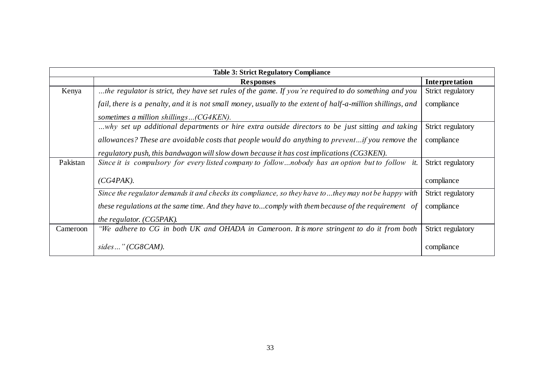| <b>Table 3: Strict Regulatory Compliance</b> |                                                                                                             |                       |  |
|----------------------------------------------|-------------------------------------------------------------------------------------------------------------|-----------------------|--|
|                                              | <b>Responses</b>                                                                                            | <b>Interpretation</b> |  |
| Kenya                                        | the regulator is strict, they have set rules of the game. If you're required to do something and you        | Strict regulatory     |  |
|                                              | fail, there is a penalty, and it is not small money, usually to the extent of half-a-million shillings, and | compliance            |  |
|                                              | sometimes a million shillings(CG4KEN).                                                                      |                       |  |
|                                              | why set up additional departments or hire extra outside directors to be just sitting and taking             | Strict regulatory     |  |
|                                              | allowances? These are avoidable costs that people would do anything to preventif you remove the             | compliance            |  |
|                                              | regulatory push, this bandwagon will slow down because it has cost implications (CG3KEN).                   |                       |  |
| Pakistan                                     | Since it is compulsory for every listed company to follownobody has an option but to follow<br>it.          | Strict regulatory     |  |
|                                              | $(CG4PAK)$ .                                                                                                | compliance            |  |
|                                              | Since the regulator demands it and checks its compliance, so they have to they may not be happy with        | Strict regulatory     |  |
|                                              | these regulations at the same time. And they have tocomply with them because of the requirement of          | compliance            |  |
|                                              | <i>the regulator. (CG5PAK).</i>                                                                             |                       |  |
| Cameroon                                     | We adhere to CG in both UK and OHADA in Cameroon. It is more stringent to do it from both                   | Strict regulatory     |  |
|                                              | $sides$ " (CG8CAM).                                                                                         | compliance            |  |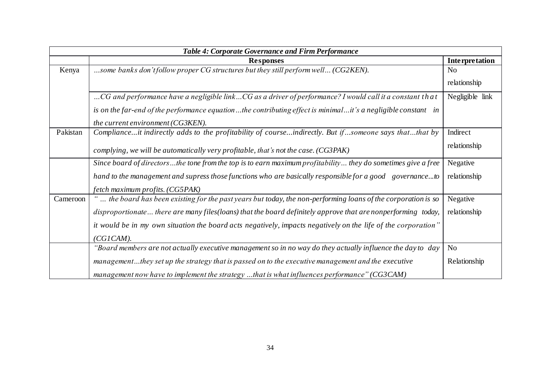| <b>Table 4: Corporate Governance and Firm Performance</b> |                                                                                                               |                       |  |  |
|-----------------------------------------------------------|---------------------------------------------------------------------------------------------------------------|-----------------------|--|--|
|                                                           | <b>Responses</b>                                                                                              | <b>Interpretation</b> |  |  |
| Kenya                                                     | some banks don't follow proper $CG$ structures but they still perform well ( $CG2KEN$ ).                      | N <sub>0</sub>        |  |  |
|                                                           |                                                                                                               | relationship          |  |  |
|                                                           | CG and performance have a negligible linkCG as a driver of performance? I would call it a constant that       | Negligible link       |  |  |
|                                                           | is on the far-end of the performance equation the contributing effect is minimalit's a negligible constant in |                       |  |  |
|                                                           | the current environment (CG3KEN).                                                                             |                       |  |  |
| Pakistan                                                  | Complianceit indirectly adds to the profitability of courseindirectly. But ifsomeone says thatthat by         | Indirect              |  |  |
|                                                           | complying, we will be automatically very profitable, that's not the case. (CG3PAK)                            | relationship          |  |  |
|                                                           | Since board of directorsthe tone from the top is to earn maximum profitability they do sometimes give a free  | Negative              |  |  |
|                                                           | hand to the management and supress those functions who are basically responsible for a good governanceto      | relationship          |  |  |
|                                                           | fetch maximum profits. (CG5PAK)                                                                               |                       |  |  |
| Cameroon                                                  | the board has been existing for the past years but today, the non-performing loans of the corporation is so   | Negative              |  |  |
|                                                           | disproportionate there are many files(loans) that the board definitely approve that are nonperforming today,  | relationship          |  |  |
|                                                           | it would be in my own situation the board acts negatively, impacts negatively on the life of the corporation" |                       |  |  |
|                                                           | $(CGICAM)$ .                                                                                                  |                       |  |  |
|                                                           | "Board members are not actually executive management so in no way do they actually influence the day to day   | N <sub>o</sub>        |  |  |
|                                                           | managementthey set up the strategy that is passed on to the executive management and the executive            | Relationship          |  |  |
|                                                           | management now have to implement the strategy that is what influences performance" ( $CG3CAM$ )               |                       |  |  |